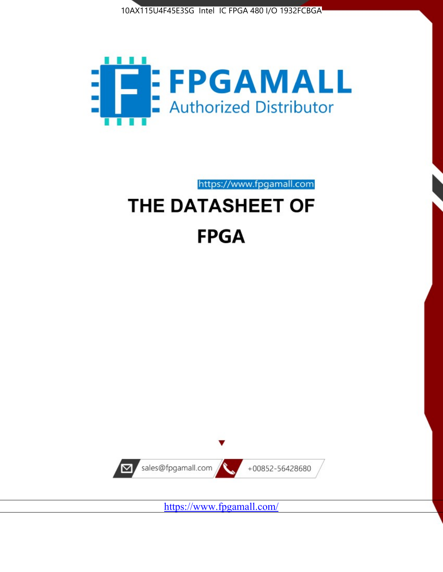



https://www.fpgamall.com

# THE DATASHEET OF **FPGA**



<https://www.fpgamall.com/>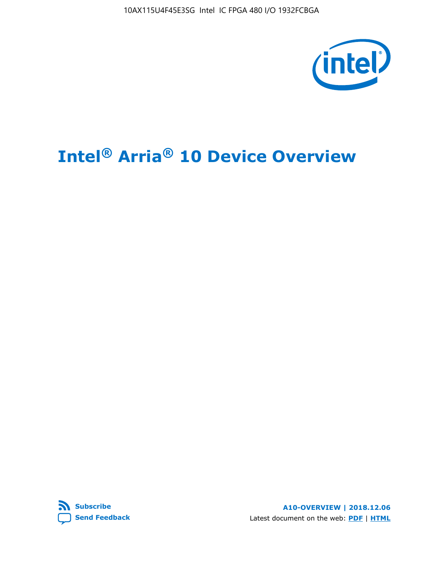10AX115U4F45E3SG Intel IC FPGA 480 I/O 1932FCBGA



# **Intel® Arria® 10 Device Overview**



**A10-OVERVIEW | 2018.12.06** Latest document on the web: **[PDF](https://www.intel.com/content/dam/www/programmable/us/en/pdfs/literature/hb/arria-10/a10_overview.pdf)** | **[HTML](https://www.intel.com/content/www/us/en/programmable/documentation/sam1403480274650.html)**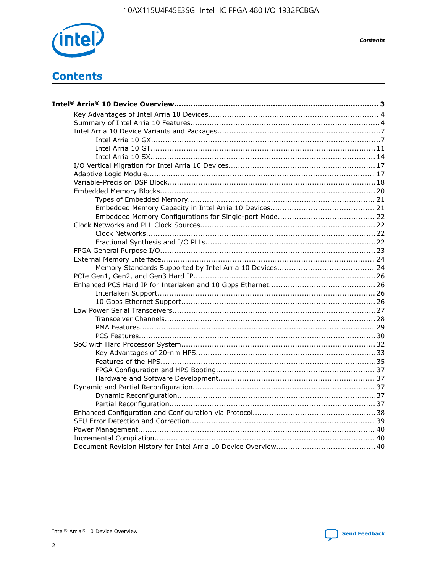

**Contents** 

# **Contents**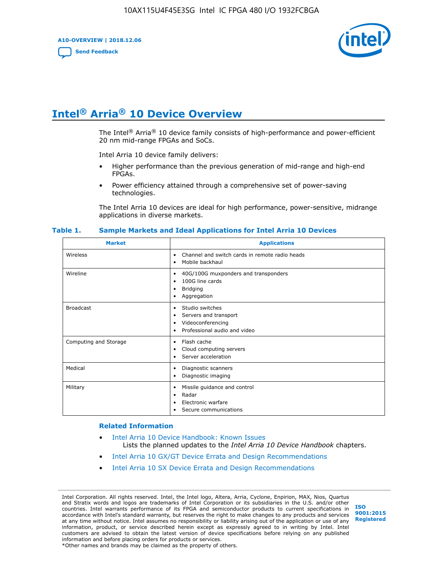**A10-OVERVIEW | 2018.12.06**

**[Send Feedback](mailto:FPGAtechdocfeedback@intel.com?subject=Feedback%20on%20Intel%20Arria%2010%20Device%20Overview%20(A10-OVERVIEW%202018.12.06)&body=We%20appreciate%20your%20feedback.%20In%20your%20comments,%20also%20specify%20the%20page%20number%20or%20paragraph.%20Thank%20you.)**



# **Intel® Arria® 10 Device Overview**

The Intel<sup>®</sup> Arria<sup>®</sup> 10 device family consists of high-performance and power-efficient 20 nm mid-range FPGAs and SoCs.

Intel Arria 10 device family delivers:

- Higher performance than the previous generation of mid-range and high-end FPGAs.
- Power efficiency attained through a comprehensive set of power-saving technologies.

The Intel Arria 10 devices are ideal for high performance, power-sensitive, midrange applications in diverse markets.

| <b>Market</b>         | <b>Applications</b>                                                                                               |
|-----------------------|-------------------------------------------------------------------------------------------------------------------|
| Wireless              | Channel and switch cards in remote radio heads<br>٠<br>Mobile backhaul<br>٠                                       |
| Wireline              | 40G/100G muxponders and transponders<br>٠<br>100G line cards<br>٠<br><b>Bridging</b><br>٠<br>Aggregation<br>٠     |
| <b>Broadcast</b>      | Studio switches<br>٠<br>Servers and transport<br>٠<br>Videoconferencing<br>٠<br>Professional audio and video<br>٠ |
| Computing and Storage | Flash cache<br>٠<br>Cloud computing servers<br>٠<br>Server acceleration<br>٠                                      |
| Medical               | Diagnostic scanners<br>٠<br>Diagnostic imaging<br>٠                                                               |
| Military              | Missile guidance and control<br>٠<br>Radar<br>٠<br>Electronic warfare<br>٠<br>Secure communications<br>٠          |

#### **Table 1. Sample Markets and Ideal Applications for Intel Arria 10 Devices**

#### **Related Information**

- [Intel Arria 10 Device Handbook: Known Issues](http://www.altera.com/support/kdb/solutions/rd07302013_646.html) Lists the planned updates to the *Intel Arria 10 Device Handbook* chapters.
- [Intel Arria 10 GX/GT Device Errata and Design Recommendations](https://www.intel.com/content/www/us/en/programmable/documentation/agz1493851706374.html#yqz1494433888646)
- [Intel Arria 10 SX Device Errata and Design Recommendations](https://www.intel.com/content/www/us/en/programmable/documentation/cru1462832385668.html#cru1462832558642)

Intel Corporation. All rights reserved. Intel, the Intel logo, Altera, Arria, Cyclone, Enpirion, MAX, Nios, Quartus and Stratix words and logos are trademarks of Intel Corporation or its subsidiaries in the U.S. and/or other countries. Intel warrants performance of its FPGA and semiconductor products to current specifications in accordance with Intel's standard warranty, but reserves the right to make changes to any products and services at any time without notice. Intel assumes no responsibility or liability arising out of the application or use of any information, product, or service described herein except as expressly agreed to in writing by Intel. Intel customers are advised to obtain the latest version of device specifications before relying on any published information and before placing orders for products or services. \*Other names and brands may be claimed as the property of others.

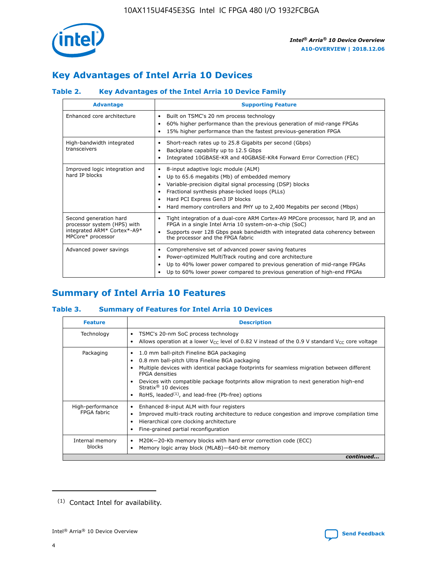

# **Key Advantages of Intel Arria 10 Devices**

## **Table 2. Key Advantages of the Intel Arria 10 Device Family**

| <b>Advantage</b>                                                                                          | <b>Supporting Feature</b>                                                                                                                                                                                                                                                                                                |
|-----------------------------------------------------------------------------------------------------------|--------------------------------------------------------------------------------------------------------------------------------------------------------------------------------------------------------------------------------------------------------------------------------------------------------------------------|
| Enhanced core architecture                                                                                | Built on TSMC's 20 nm process technology<br>٠<br>60% higher performance than the previous generation of mid-range FPGAs<br>٠<br>15% higher performance than the fastest previous-generation FPGA<br>٠                                                                                                                    |
| High-bandwidth integrated<br>transceivers                                                                 | Short-reach rates up to 25.8 Gigabits per second (Gbps)<br>٠<br>Backplane capability up to 12.5 Gbps<br>٠<br>Integrated 10GBASE-KR and 40GBASE-KR4 Forward Error Correction (FEC)<br>٠                                                                                                                                   |
| Improved logic integration and<br>hard IP blocks                                                          | 8-input adaptive logic module (ALM)<br>٠<br>Up to 65.6 megabits (Mb) of embedded memory<br>٠<br>Variable-precision digital signal processing (DSP) blocks<br>Fractional synthesis phase-locked loops (PLLs)<br>Hard PCI Express Gen3 IP blocks<br>Hard memory controllers and PHY up to 2,400 Megabits per second (Mbps) |
| Second generation hard<br>processor system (HPS) with<br>integrated ARM* Cortex*-A9*<br>MPCore* processor | Tight integration of a dual-core ARM Cortex-A9 MPCore processor, hard IP, and an<br>٠<br>FPGA in a single Intel Arria 10 system-on-a-chip (SoC)<br>Supports over 128 Gbps peak bandwidth with integrated data coherency between<br>$\bullet$<br>the processor and the FPGA fabric                                        |
| Advanced power savings                                                                                    | Comprehensive set of advanced power saving features<br>٠<br>Power-optimized MultiTrack routing and core architecture<br>٠<br>Up to 40% lower power compared to previous generation of mid-range FPGAs<br>٠<br>Up to 60% lower power compared to previous generation of high-end FPGAs                                    |

# **Summary of Intel Arria 10 Features**

## **Table 3. Summary of Features for Intel Arria 10 Devices**

| <b>Feature</b>                  | <b>Description</b>                                                                                                                                                                                                                                                                                                                                                                                           |
|---------------------------------|--------------------------------------------------------------------------------------------------------------------------------------------------------------------------------------------------------------------------------------------------------------------------------------------------------------------------------------------------------------------------------------------------------------|
| Technology                      | TSMC's 20-nm SoC process technology<br>٠<br>Allows operation at a lower $V_{CC}$ level of 0.82 V instead of the 0.9 V standard $V_{CC}$ core voltage                                                                                                                                                                                                                                                         |
| Packaging                       | 1.0 mm ball-pitch Fineline BGA packaging<br>٠<br>0.8 mm ball-pitch Ultra Fineline BGA packaging<br>Multiple devices with identical package footprints for seamless migration between different<br><b>FPGA</b> densities<br>Devices with compatible package footprints allow migration to next generation high-end<br>Stratix <sup>®</sup> 10 devices<br>RoHS, leaded $(1)$ , and lead-free (Pb-free) options |
| High-performance<br>FPGA fabric | Enhanced 8-input ALM with four registers<br>Improved multi-track routing architecture to reduce congestion and improve compilation time<br>Hierarchical core clocking architecture<br>Fine-grained partial reconfiguration                                                                                                                                                                                   |
| Internal memory<br>blocks       | M20K-20-Kb memory blocks with hard error correction code (ECC)<br>٠<br>Memory logic array block (MLAB)-640-bit memory                                                                                                                                                                                                                                                                                        |
|                                 | continued                                                                                                                                                                                                                                                                                                                                                                                                    |



<sup>(1)</sup> Contact Intel for availability.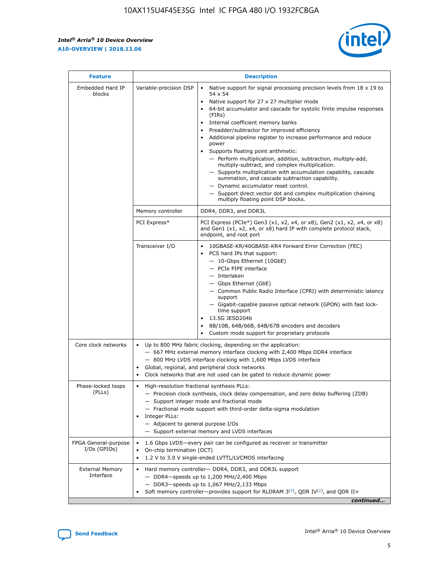$\mathsf{r}$ 



| <b>Feature</b>                         |                                                                                                                | <b>Description</b>                                                                                                                                                                                                                                                                                                                                                                                                                                                                                                                                                                                                                                                                                                                                                                                                                          |
|----------------------------------------|----------------------------------------------------------------------------------------------------------------|---------------------------------------------------------------------------------------------------------------------------------------------------------------------------------------------------------------------------------------------------------------------------------------------------------------------------------------------------------------------------------------------------------------------------------------------------------------------------------------------------------------------------------------------------------------------------------------------------------------------------------------------------------------------------------------------------------------------------------------------------------------------------------------------------------------------------------------------|
| Embedded Hard IP<br>blocks             | Variable-precision DSP                                                                                         | Native support for signal processing precision levels from $18 \times 19$ to<br>$\bullet$<br>54 x 54<br>Native support for 27 x 27 multiplier mode<br>64-bit accumulator and cascade for systolic finite impulse responses<br>(FIRs)<br>Internal coefficient memory banks<br>٠<br>Preadder/subtractor for improved efficiency<br>Additional pipeline register to increase performance and reduce<br>power<br>Supports floating point arithmetic:<br>- Perform multiplication, addition, subtraction, multiply-add,<br>multiply-subtract, and complex multiplication.<br>- Supports multiplication with accumulation capability, cascade<br>summation, and cascade subtraction capability.<br>- Dynamic accumulator reset control.<br>- Support direct vector dot and complex multiplication chaining<br>multiply floating point DSP blocks. |
|                                        | Memory controller                                                                                              | DDR4, DDR3, and DDR3L                                                                                                                                                                                                                                                                                                                                                                                                                                                                                                                                                                                                                                                                                                                                                                                                                       |
|                                        | PCI Express*                                                                                                   | PCI Express (PCIe*) Gen3 (x1, x2, x4, or x8), Gen2 (x1, x2, x4, or x8)<br>and Gen1 (x1, x2, x4, or x8) hard IP with complete protocol stack,<br>endpoint, and root port                                                                                                                                                                                                                                                                                                                                                                                                                                                                                                                                                                                                                                                                     |
|                                        | Transceiver I/O                                                                                                | 10GBASE-KR/40GBASE-KR4 Forward Error Correction (FEC)<br>PCS hard IPs that support:<br>- 10-Gbps Ethernet (10GbE)<br>- PCIe PIPE interface<br>- Interlaken<br>- Gbps Ethernet (GbE)<br>- Common Public Radio Interface (CPRI) with deterministic latency<br>support<br>- Gigabit-capable passive optical network (GPON) with fast lock-<br>time support<br>13.5G JESD204b<br>$\bullet$<br>8B/10B, 64B/66B, 64B/67B encoders and decoders<br>Custom mode support for proprietary protocols                                                                                                                                                                                                                                                                                                                                                   |
| Core clock networks                    | $\bullet$<br>$\bullet$                                                                                         | Up to 800 MHz fabric clocking, depending on the application:<br>- 667 MHz external memory interface clocking with 2,400 Mbps DDR4 interface<br>- 800 MHz LVDS interface clocking with 1,600 Mbps LVDS interface<br>Global, regional, and peripheral clock networks<br>Clock networks that are not used can be gated to reduce dynamic power                                                                                                                                                                                                                                                                                                                                                                                                                                                                                                 |
| Phase-locked loops<br>(PLLs)           | High-resolution fractional synthesis PLLs:<br>$\bullet$<br>Integer PLLs:<br>- Adjacent to general purpose I/Os | - Precision clock synthesis, clock delay compensation, and zero delay buffering (ZDB)<br>- Support integer mode and fractional mode<br>- Fractional mode support with third-order delta-sigma modulation<br>- Support external memory and LVDS interfaces                                                                                                                                                                                                                                                                                                                                                                                                                                                                                                                                                                                   |
| FPGA General-purpose<br>$I/Os$ (GPIOs) | On-chip termination (OCT)<br>$\bullet$                                                                         | 1.6 Gbps LVDS-every pair can be configured as receiver or transmitter<br>1.2 V to 3.0 V single-ended LVTTL/LVCMOS interfacing                                                                                                                                                                                                                                                                                                                                                                                                                                                                                                                                                                                                                                                                                                               |
| <b>External Memory</b><br>Interface    |                                                                                                                | Hard memory controller- DDR4, DDR3, and DDR3L support<br>$-$ DDR4 $-$ speeds up to 1,200 MHz/2,400 Mbps<br>- DDR3-speeds up to 1,067 MHz/2,133 Mbps<br>Soft memory controller—provides support for RLDRAM $3^{(2)}$ , QDR IV $(2^2)$ , and QDR II+<br>continued                                                                                                                                                                                                                                                                                                                                                                                                                                                                                                                                                                             |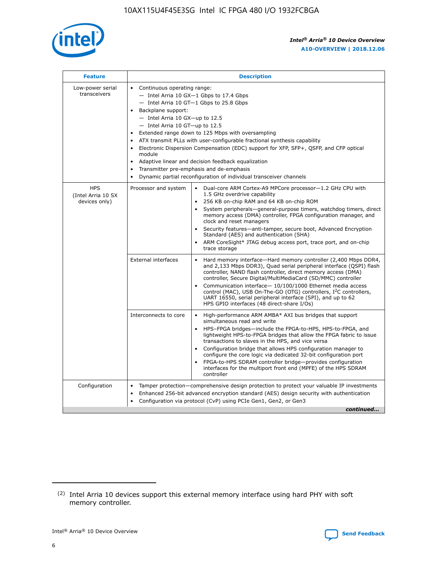

| <b>Feature</b>                                    | <b>Description</b>                                                                                                                                                                                                                                                                                                                                                                                                                                                                                                                                                                                                                             |  |  |  |  |  |  |  |
|---------------------------------------------------|------------------------------------------------------------------------------------------------------------------------------------------------------------------------------------------------------------------------------------------------------------------------------------------------------------------------------------------------------------------------------------------------------------------------------------------------------------------------------------------------------------------------------------------------------------------------------------------------------------------------------------------------|--|--|--|--|--|--|--|
| Low-power serial<br>transceivers                  | • Continuous operating range:<br>- Intel Arria 10 GX-1 Gbps to 17.4 Gbps<br>- Intel Arria 10 GT-1 Gbps to 25.8 Gbps<br>Backplane support:<br>$-$ Intel Arria 10 GX-up to 12.5<br>$-$ Intel Arria 10 GT-up to 12.5<br>Extended range down to 125 Mbps with oversampling<br>ATX transmit PLLs with user-configurable fractional synthesis capability<br>• Electronic Dispersion Compensation (EDC) support for XFP, SFP+, QSFP, and CFP optical<br>module<br>• Adaptive linear and decision feedback equalization<br>Transmitter pre-emphasis and de-emphasis<br>$\bullet$<br>Dynamic partial reconfiguration of individual transceiver channels |  |  |  |  |  |  |  |
| <b>HPS</b><br>(Intel Arria 10 SX<br>devices only) | Processor and system<br>Dual-core ARM Cortex-A9 MPCore processor-1.2 GHz CPU with<br>$\bullet$<br>1.5 GHz overdrive capability<br>256 KB on-chip RAM and 64 KB on-chip ROM<br>$\bullet$<br>System peripherals-general-purpose timers, watchdog timers, direct<br>memory access (DMA) controller, FPGA configuration manager, and<br>clock and reset managers<br>• Security features—anti-tamper, secure boot, Advanced Encryption<br>Standard (AES) and authentication (SHA)<br>ARM CoreSight* JTAG debug access port, trace port, and on-chip<br>trace storage                                                                                |  |  |  |  |  |  |  |
|                                                   | <b>External interfaces</b><br>Hard memory interface—Hard memory controller (2,400 Mbps DDR4,<br>$\bullet$<br>and 2,133 Mbps DDR3), Quad serial peripheral interface (QSPI) flash<br>controller, NAND flash controller, direct memory access (DMA)<br>controller, Secure Digital/MultiMediaCard (SD/MMC) controller<br>Communication interface-10/100/1000 Ethernet media access<br>control (MAC), USB On-The-GO (OTG) controllers, I <sup>2</sup> C controllers,<br>UART 16550, serial peripheral interface (SPI), and up to 62<br>HPS GPIO interfaces (48 direct-share I/Os)                                                                  |  |  |  |  |  |  |  |
|                                                   | High-performance ARM AMBA* AXI bus bridges that support<br>Interconnects to core<br>$\bullet$<br>simultaneous read and write<br>HPS-FPGA bridges—include the FPGA-to-HPS, HPS-to-FPGA, and<br>$\bullet$<br>lightweight HPS-to-FPGA bridges that allow the FPGA fabric to issue<br>transactions to slaves in the HPS, and vice versa<br>Configuration bridge that allows HPS configuration manager to<br>configure the core logic via dedicated 32-bit configuration port<br>FPGA-to-HPS SDRAM controller bridge-provides configuration<br>interfaces for the multiport front end (MPFE) of the HPS SDRAM<br>controller                         |  |  |  |  |  |  |  |
| Configuration                                     | Tamper protection—comprehensive design protection to protect your valuable IP investments<br>Enhanced 256-bit advanced encryption standard (AES) design security with authentication<br>$\bullet$<br>Configuration via protocol (CvP) using PCIe Gen1, Gen2, or Gen3<br>continued                                                                                                                                                                                                                                                                                                                                                              |  |  |  |  |  |  |  |

<sup>(2)</sup> Intel Arria 10 devices support this external memory interface using hard PHY with soft memory controller.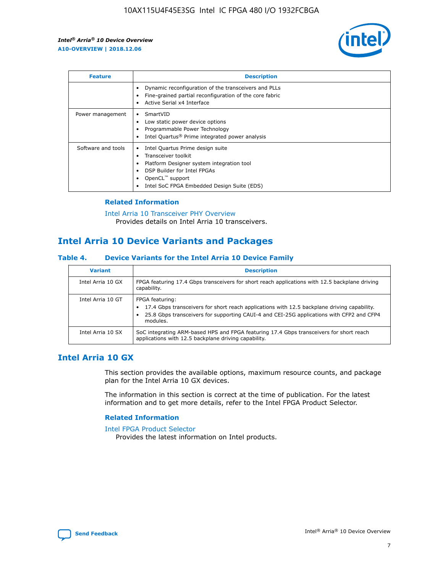

| <b>Feature</b>     | <b>Description</b>                                                                                                                                                                                                            |
|--------------------|-------------------------------------------------------------------------------------------------------------------------------------------------------------------------------------------------------------------------------|
|                    | Dynamic reconfiguration of the transceivers and PLLs<br>Fine-grained partial reconfiguration of the core fabric<br>Active Serial x4 Interface<br>$\bullet$                                                                    |
| Power management   | SmartVID<br>Low static power device options<br>Programmable Power Technology<br>Intel Quartus <sup>®</sup> Prime integrated power analysis                                                                                    |
| Software and tools | Intel Quartus Prime design suite<br>Transceiver toolkit<br>$\bullet$<br>Platform Designer system integration tool<br>DSP Builder for Intel FPGAs<br>OpenCL <sup>™</sup> support<br>Intel SoC FPGA Embedded Design Suite (EDS) |

## **Related Information**

[Intel Arria 10 Transceiver PHY Overview](https://www.intel.com/content/www/us/en/programmable/documentation/nik1398707230472.html#nik1398706768037) Provides details on Intel Arria 10 transceivers.

# **Intel Arria 10 Device Variants and Packages**

#### **Table 4. Device Variants for the Intel Arria 10 Device Family**

| <b>Variant</b>    | <b>Description</b>                                                                                                                                                                                                     |
|-------------------|------------------------------------------------------------------------------------------------------------------------------------------------------------------------------------------------------------------------|
| Intel Arria 10 GX | FPGA featuring 17.4 Gbps transceivers for short reach applications with 12.5 backplane driving<br>capability.                                                                                                          |
| Intel Arria 10 GT | FPGA featuring:<br>17.4 Gbps transceivers for short reach applications with 12.5 backplane driving capability.<br>25.8 Gbps transceivers for supporting CAUI-4 and CEI-25G applications with CFP2 and CFP4<br>modules. |
| Intel Arria 10 SX | SoC integrating ARM-based HPS and FPGA featuring 17.4 Gbps transceivers for short reach<br>applications with 12.5 backplane driving capability.                                                                        |

## **Intel Arria 10 GX**

This section provides the available options, maximum resource counts, and package plan for the Intel Arria 10 GX devices.

The information in this section is correct at the time of publication. For the latest information and to get more details, refer to the Intel FPGA Product Selector.

#### **Related Information**

#### [Intel FPGA Product Selector](http://www.altera.com/products/selector/psg-selector.html) Provides the latest information on Intel products.

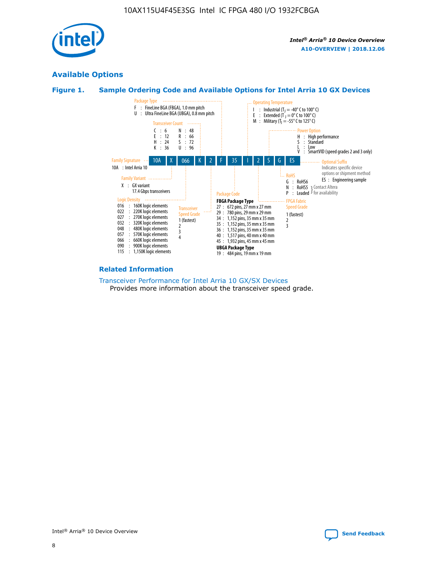

## **Available Options**





#### **Related Information**

[Transceiver Performance for Intel Arria 10 GX/SX Devices](https://www.intel.com/content/www/us/en/programmable/documentation/mcn1413182292568.html#mcn1413213965502) Provides more information about the transceiver speed grade.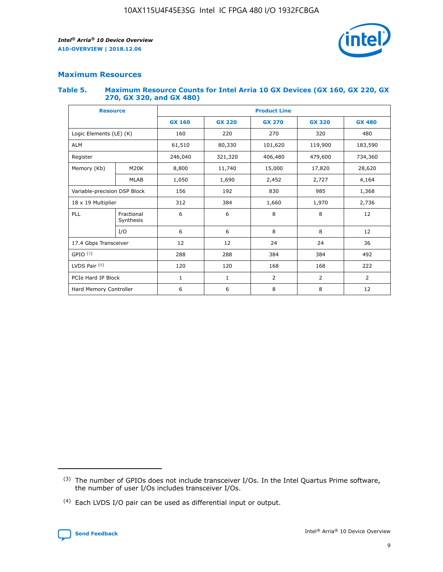

## **Maximum Resources**

#### **Table 5. Maximum Resource Counts for Intel Arria 10 GX Devices (GX 160, GX 220, GX 270, GX 320, and GX 480)**

| <b>Resource</b>              |                         | <b>Product Line</b> |                                                 |                    |                |                |  |  |  |
|------------------------------|-------------------------|---------------------|-------------------------------------------------|--------------------|----------------|----------------|--|--|--|
|                              |                         | <b>GX 160</b>       | <b>GX 220</b><br><b>GX 270</b><br><b>GX 320</b> |                    |                | <b>GX 480</b>  |  |  |  |
| Logic Elements (LE) (K)      |                         | 160                 | 220<br>320<br>270                               |                    |                | 480            |  |  |  |
| <b>ALM</b>                   |                         | 61,510              | 80,330                                          | 101,620            | 119,900        | 183,590        |  |  |  |
| Register                     |                         | 246,040             | 321,320                                         | 406,480<br>479,600 |                | 734,360        |  |  |  |
| Memory (Kb)                  | M <sub>20</sub> K       | 8,800               | 11,740                                          | 15,000             | 17,820         | 28,620         |  |  |  |
|                              | <b>MLAB</b>             | 1,050               | 1,690                                           | 2,452<br>2,727     |                | 4,164          |  |  |  |
| Variable-precision DSP Block |                         | 156                 | 192                                             | 830                | 985            | 1,368          |  |  |  |
| 18 x 19 Multiplier           |                         | 312                 | 384                                             | 1,660<br>1,970     |                | 2,736          |  |  |  |
| PLL                          | Fractional<br>Synthesis | 6                   | 6                                               | 8                  | 8              | 12             |  |  |  |
|                              | I/O                     | 6                   | 6                                               | 8                  | 8              | 12             |  |  |  |
| 17.4 Gbps Transceiver        |                         | 12                  | 12                                              | 24                 | 24             | 36             |  |  |  |
| GPIO <sup>(3)</sup>          |                         | 288                 | 288                                             | 384                | 384            | 492            |  |  |  |
| LVDS Pair $(4)$              |                         | 120                 | 120                                             | 168                | 168            | 222            |  |  |  |
| PCIe Hard IP Block           |                         | $\mathbf{1}$        | 1                                               | $\overline{2}$     | $\overline{2}$ | $\overline{2}$ |  |  |  |
| Hard Memory Controller       |                         | 6                   | 6                                               | 8                  | 8              |                |  |  |  |

<sup>(4)</sup> Each LVDS I/O pair can be used as differential input or output.



<sup>(3)</sup> The number of GPIOs does not include transceiver I/Os. In the Intel Quartus Prime software, the number of user I/Os includes transceiver I/Os.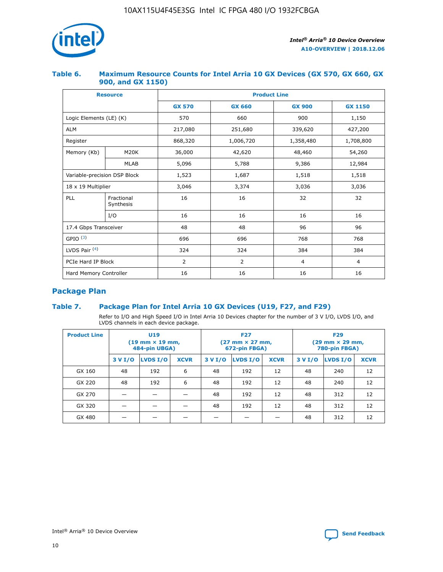

## **Table 6. Maximum Resource Counts for Intel Arria 10 GX Devices (GX 570, GX 660, GX 900, and GX 1150)**

|                              | <b>Resource</b>         | <b>Product Line</b> |               |                |                |  |  |  |  |
|------------------------------|-------------------------|---------------------|---------------|----------------|----------------|--|--|--|--|
|                              |                         | <b>GX 570</b>       | <b>GX 660</b> | <b>GX 900</b>  | <b>GX 1150</b> |  |  |  |  |
| Logic Elements (LE) (K)      |                         | 570                 | 660           | 900            | 1,150          |  |  |  |  |
| <b>ALM</b>                   |                         | 217,080             | 251,680       | 339,620        | 427,200        |  |  |  |  |
| Register                     |                         | 868,320             | 1,006,720     | 1,358,480      | 1,708,800      |  |  |  |  |
| Memory (Kb)                  | <b>M20K</b>             | 36,000              | 42,620        | 48,460         | 54,260         |  |  |  |  |
|                              | <b>MLAB</b>             | 5,096               | 5,788         | 9,386          | 12,984         |  |  |  |  |
| Variable-precision DSP Block |                         | 1,523               | 1,687         | 1,518          | 1,518          |  |  |  |  |
| $18 \times 19$ Multiplier    |                         | 3,046               | 3,374         | 3,036          | 3,036          |  |  |  |  |
| PLL                          | Fractional<br>Synthesis | 16                  | 16            | 32             | 32             |  |  |  |  |
|                              | I/O                     | 16                  | 16            | 16             | 16             |  |  |  |  |
| 17.4 Gbps Transceiver        |                         | 48                  | 96<br>48      |                | 96             |  |  |  |  |
| GPIO <sup>(3)</sup>          |                         | 696                 | 696           | 768            | 768            |  |  |  |  |
| LVDS Pair $(4)$              |                         | 324                 | 324           | 384            | 384            |  |  |  |  |
| PCIe Hard IP Block           |                         | 2                   | 2             | $\overline{4}$ | $\overline{4}$ |  |  |  |  |
| Hard Memory Controller       |                         | 16                  | 16            | 16             | 16             |  |  |  |  |

## **Package Plan**

## **Table 7. Package Plan for Intel Arria 10 GX Devices (U19, F27, and F29)**

Refer to I/O and High Speed I/O in Intel Arria 10 Devices chapter for the number of 3 V I/O, LVDS I/O, and LVDS channels in each device package.

| <b>Product Line</b> | U <sub>19</sub><br>$(19 \text{ mm} \times 19 \text{ mm})$<br>484-pin UBGA) |          |             |         | <b>F27</b><br>(27 mm × 27 mm,<br>672-pin FBGA) |             | <b>F29</b><br>$(29 \text{ mm} \times 29 \text{ mm})$<br>780-pin FBGA) |          |             |  |
|---------------------|----------------------------------------------------------------------------|----------|-------------|---------|------------------------------------------------|-------------|-----------------------------------------------------------------------|----------|-------------|--|
|                     | 3 V I/O                                                                    | LVDS I/O | <b>XCVR</b> | 3 V I/O | LVDS I/O                                       | <b>XCVR</b> | 3 V I/O                                                               | LVDS I/O | <b>XCVR</b> |  |
| GX 160              | 48                                                                         | 192      | 6           | 48      | 192                                            | 12          | 48                                                                    | 240      | 12          |  |
| GX 220              | 48                                                                         | 192      | 6           | 48      | 192                                            | 12          | 48                                                                    | 240      | 12          |  |
| GX 270              |                                                                            |          |             | 48      | 192                                            | 12          | 48                                                                    | 312      | 12          |  |
| GX 320              |                                                                            |          |             | 48      | 192                                            | 12          | 48                                                                    | 312      | 12          |  |
| GX 480              |                                                                            |          |             |         |                                                |             | 48                                                                    | 312      | 12          |  |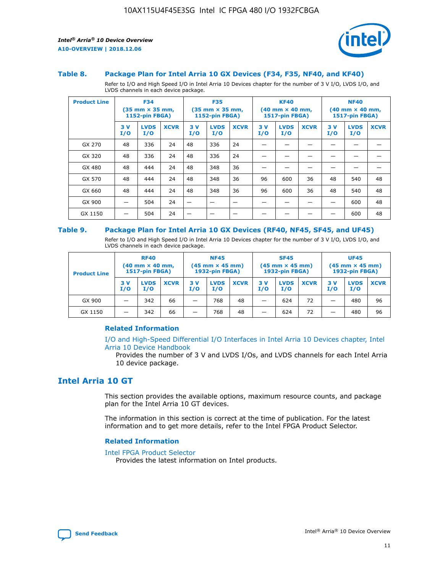

#### **Table 8. Package Plan for Intel Arria 10 GX Devices (F34, F35, NF40, and KF40)**

Refer to I/O and High Speed I/O in Intel Arria 10 Devices chapter for the number of 3 V I/O, LVDS I/O, and LVDS channels in each device package.

| <b>Product Line</b> | <b>F34</b><br>$(35 \text{ mm} \times 35 \text{ mm})$<br>1152-pin FBGA) |                    | <b>F35</b><br>$(35 \text{ mm} \times 35 \text{ mm})$<br><b>1152-pin FBGA)</b> |           | <b>KF40</b><br>$(40$ mm $\times$ 40 mm,<br>1517-pin FBGA) |             |           | <b>NF40</b><br>$(40$ mm $\times$ 40 mm,<br><b>1517-pin FBGA)</b> |             |            |                    |             |
|---------------------|------------------------------------------------------------------------|--------------------|-------------------------------------------------------------------------------|-----------|-----------------------------------------------------------|-------------|-----------|------------------------------------------------------------------|-------------|------------|--------------------|-------------|
|                     | 3V<br>I/O                                                              | <b>LVDS</b><br>I/O | <b>XCVR</b>                                                                   | 3V<br>I/O | <b>LVDS</b><br>I/O                                        | <b>XCVR</b> | 3V<br>I/O | <b>LVDS</b><br>I/O                                               | <b>XCVR</b> | 3 V<br>I/O | <b>LVDS</b><br>I/O | <b>XCVR</b> |
| GX 270              | 48                                                                     | 336                | 24                                                                            | 48        | 336                                                       | 24          |           |                                                                  |             |            |                    |             |
| GX 320              | 48                                                                     | 336                | 24                                                                            | 48        | 336                                                       | 24          |           |                                                                  |             |            |                    |             |
| GX 480              | 48                                                                     | 444                | 24                                                                            | 48        | 348                                                       | 36          |           |                                                                  |             |            |                    |             |
| GX 570              | 48                                                                     | 444                | 24                                                                            | 48        | 348                                                       | 36          | 96        | 600                                                              | 36          | 48         | 540                | 48          |
| GX 660              | 48                                                                     | 444                | 24                                                                            | 48        | 348                                                       | 36          | 96        | 600                                                              | 36          | 48         | 540                | 48          |
| GX 900              |                                                                        | 504                | 24                                                                            | -         |                                                           |             |           |                                                                  |             |            | 600                | 48          |
| GX 1150             |                                                                        | 504                | 24                                                                            |           |                                                           |             |           |                                                                  |             |            | 600                | 48          |

#### **Table 9. Package Plan for Intel Arria 10 GX Devices (RF40, NF45, SF45, and UF45)**

Refer to I/O and High Speed I/O in Intel Arria 10 Devices chapter for the number of 3 V I/O, LVDS I/O, and LVDS channels in each device package.

| <b>Product Line</b> | <b>RF40</b><br>$(40$ mm $\times$ 40 mm,<br>1517-pin FBGA) |                    | <b>NF45</b><br>$(45 \text{ mm} \times 45 \text{ mm})$<br><b>1932-pin FBGA)</b> |            |                    | <b>SF45</b><br>$(45 \text{ mm} \times 45 \text{ mm})$<br><b>1932-pin FBGA)</b> |            |                    | <b>UF45</b><br>$(45 \text{ mm} \times 45 \text{ mm})$<br><b>1932-pin FBGA)</b> |           |                    |             |
|---------------------|-----------------------------------------------------------|--------------------|--------------------------------------------------------------------------------|------------|--------------------|--------------------------------------------------------------------------------|------------|--------------------|--------------------------------------------------------------------------------|-----------|--------------------|-------------|
|                     | 3V<br>I/O                                                 | <b>LVDS</b><br>I/O | <b>XCVR</b>                                                                    | 3 V<br>I/O | <b>LVDS</b><br>I/O | <b>XCVR</b>                                                                    | 3 V<br>I/O | <b>LVDS</b><br>I/O | <b>XCVR</b>                                                                    | 3V<br>I/O | <b>LVDS</b><br>I/O | <b>XCVR</b> |
| GX 900              |                                                           | 342                | 66                                                                             | _          | 768                | 48                                                                             |            | 624                | 72                                                                             |           | 480                | 96          |
| GX 1150             |                                                           | 342                | 66                                                                             | _          | 768                | 48                                                                             |            | 624                | 72                                                                             |           | 480                | 96          |

#### **Related Information**

[I/O and High-Speed Differential I/O Interfaces in Intel Arria 10 Devices chapter, Intel](https://www.intel.com/content/www/us/en/programmable/documentation/sam1403482614086.html#sam1403482030321) [Arria 10 Device Handbook](https://www.intel.com/content/www/us/en/programmable/documentation/sam1403482614086.html#sam1403482030321)

Provides the number of 3 V and LVDS I/Os, and LVDS channels for each Intel Arria 10 device package.

## **Intel Arria 10 GT**

This section provides the available options, maximum resource counts, and package plan for the Intel Arria 10 GT devices.

The information in this section is correct at the time of publication. For the latest information and to get more details, refer to the Intel FPGA Product Selector.

#### **Related Information**

#### [Intel FPGA Product Selector](http://www.altera.com/products/selector/psg-selector.html)

Provides the latest information on Intel products.

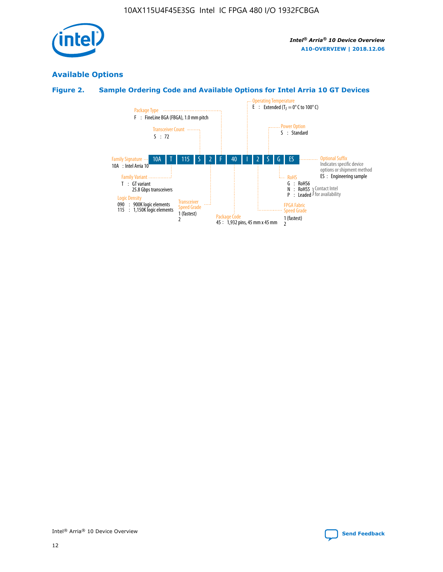

## **Available Options**

## **Figure 2. Sample Ordering Code and Available Options for Intel Arria 10 GT Devices**

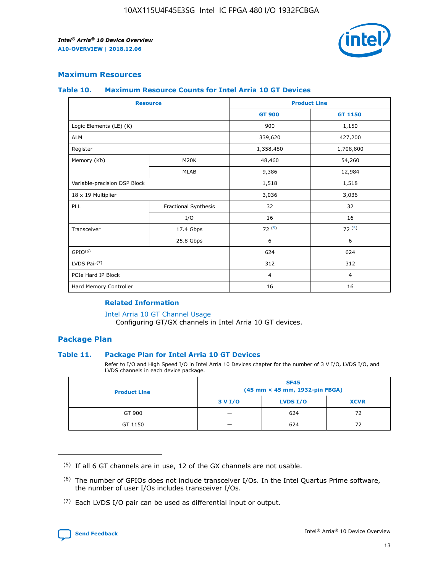

## **Maximum Resources**

#### **Table 10. Maximum Resource Counts for Intel Arria 10 GT Devices**

| <b>Resource</b>              |                      |                | <b>Product Line</b> |  |
|------------------------------|----------------------|----------------|---------------------|--|
|                              |                      | <b>GT 900</b>  | GT 1150             |  |
| Logic Elements (LE) (K)      |                      | 900            | 1,150               |  |
| <b>ALM</b>                   |                      | 339,620        | 427,200             |  |
| Register                     |                      | 1,358,480      | 1,708,800           |  |
| Memory (Kb)                  | M <sub>20</sub> K    | 48,460         | 54,260              |  |
|                              | <b>MLAB</b>          | 9,386          | 12,984              |  |
| Variable-precision DSP Block |                      | 1,518          | 1,518               |  |
| 18 x 19 Multiplier           |                      | 3,036          | 3,036               |  |
| PLL                          | Fractional Synthesis | 32             | 32                  |  |
|                              | I/O                  | 16             | 16                  |  |
| Transceiver                  | 17.4 Gbps            | 72(5)          | 72(5)               |  |
|                              | 25.8 Gbps            | 6              | 6                   |  |
| GPIO <sup>(6)</sup>          |                      | 624            | 624                 |  |
| LVDS Pair $(7)$              |                      | 312            | 312                 |  |
| PCIe Hard IP Block           |                      | $\overline{4}$ | $\overline{4}$      |  |
| Hard Memory Controller       |                      | 16             | 16                  |  |

#### **Related Information**

#### [Intel Arria 10 GT Channel Usage](https://www.intel.com/content/www/us/en/programmable/documentation/nik1398707230472.html#nik1398707008178)

Configuring GT/GX channels in Intel Arria 10 GT devices.

## **Package Plan**

#### **Table 11. Package Plan for Intel Arria 10 GT Devices**

Refer to I/O and High Speed I/O in Intel Arria 10 Devices chapter for the number of 3 V I/O, LVDS I/O, and LVDS channels in each device package.

| <b>Product Line</b> | <b>SF45</b><br>(45 mm × 45 mm, 1932-pin FBGA) |                 |             |  |  |  |  |
|---------------------|-----------------------------------------------|-----------------|-------------|--|--|--|--|
|                     | 3 V I/O                                       | <b>LVDS I/O</b> | <b>XCVR</b> |  |  |  |  |
| GT 900              |                                               | 624             | 72          |  |  |  |  |
| GT 1150             |                                               | 624             |             |  |  |  |  |

<sup>(7)</sup> Each LVDS I/O pair can be used as differential input or output.



 $(5)$  If all 6 GT channels are in use, 12 of the GX channels are not usable.

<sup>(6)</sup> The number of GPIOs does not include transceiver I/Os. In the Intel Quartus Prime software, the number of user I/Os includes transceiver I/Os.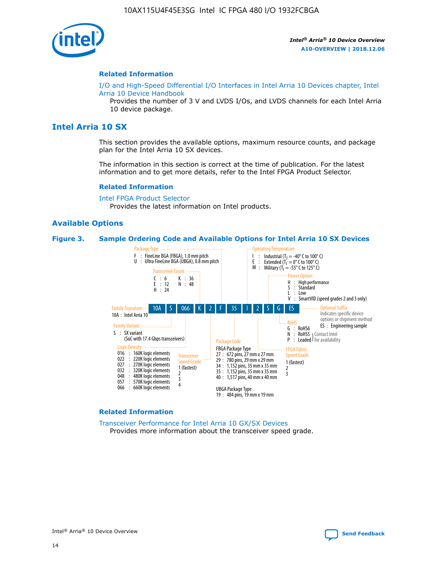

#### **Related Information**

[I/O and High-Speed Differential I/O Interfaces in Intel Arria 10 Devices chapter, Intel](https://www.intel.com/content/www/us/en/programmable/documentation/sam1403482614086.html#sam1403482030321) [Arria 10 Device Handbook](https://www.intel.com/content/www/us/en/programmable/documentation/sam1403482614086.html#sam1403482030321)

Provides the number of 3 V and LVDS I/Os, and LVDS channels for each Intel Arria 10 device package.

## **Intel Arria 10 SX**

This section provides the available options, maximum resource counts, and package plan for the Intel Arria 10 SX devices.

The information in this section is correct at the time of publication. For the latest information and to get more details, refer to the Intel FPGA Product Selector.

#### **Related Information**

[Intel FPGA Product Selector](http://www.altera.com/products/selector/psg-selector.html) Provides the latest information on Intel products.

#### **Available Options**

#### **Figure 3. Sample Ordering Code and Available Options for Intel Arria 10 SX Devices**



#### **Related Information**

[Transceiver Performance for Intel Arria 10 GX/SX Devices](https://www.intel.com/content/www/us/en/programmable/documentation/mcn1413182292568.html#mcn1413213965502) Provides more information about the transceiver speed grade.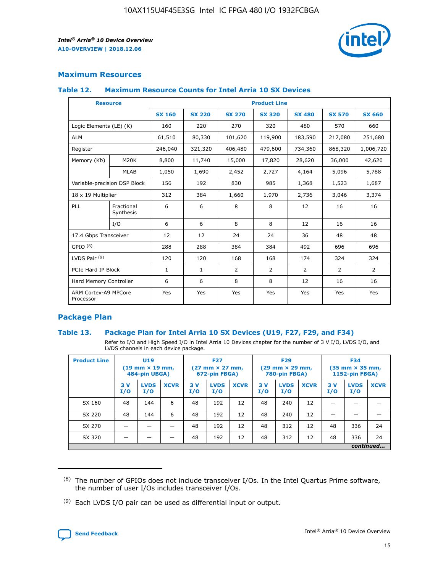

## **Maximum Resources**

#### **Table 12. Maximum Resource Counts for Intel Arria 10 SX Devices**

| <b>Resource</b>                   |                         | <b>Product Line</b> |               |                |                |                |                |                |  |  |  |
|-----------------------------------|-------------------------|---------------------|---------------|----------------|----------------|----------------|----------------|----------------|--|--|--|
|                                   |                         | <b>SX 160</b>       | <b>SX 220</b> | <b>SX 270</b>  | <b>SX 320</b>  | <b>SX 480</b>  | <b>SX 570</b>  | <b>SX 660</b>  |  |  |  |
| Logic Elements (LE) (K)           |                         | 160                 | 220           | 270            | 320            | 480            | 570            | 660            |  |  |  |
| <b>ALM</b>                        |                         | 61,510              | 80,330        | 101,620        | 119,900        | 183,590        | 217,080        | 251,680        |  |  |  |
| Register                          |                         | 246,040             | 321,320       | 406,480        | 479,600        | 734,360        | 868,320        | 1,006,720      |  |  |  |
| Memory (Kb)                       | M <sub>20</sub> K       | 8,800               | 11,740        | 15,000         | 17,820         | 28,620         | 36,000         | 42,620         |  |  |  |
|                                   | <b>MLAB</b>             | 1,050               | 1,690         | 2,452          | 2,727          | 4,164          | 5,096          | 5,788          |  |  |  |
| Variable-precision DSP Block      |                         | 156                 | 192           | 830            | 985            | 1,368          | 1,523          | 1,687          |  |  |  |
| 18 x 19 Multiplier                |                         | 312                 | 384           | 1,660          | 1,970          | 2,736          | 3,046          | 3,374          |  |  |  |
| PLL                               | Fractional<br>Synthesis | 6                   | 6             | 8              | 8              | 12             | 16             | 16             |  |  |  |
|                                   | I/O                     | 6                   | 6             | 8              | 8              | 12             | 16             | 16             |  |  |  |
| 17.4 Gbps Transceiver             |                         | 12                  | 12            | 24             | 24             | 36             | 48             | 48             |  |  |  |
| GPIO <sup>(8)</sup>               |                         | 288                 | 288           | 384            | 384            | 492            | 696            | 696            |  |  |  |
| LVDS Pair $(9)$                   |                         | 120                 | 120           | 168            | 168            | 174            | 324            | 324            |  |  |  |
| PCIe Hard IP Block                |                         | $\mathbf{1}$        | $\mathbf{1}$  | $\overline{2}$ | $\overline{2}$ | $\overline{2}$ | $\overline{2}$ | $\overline{2}$ |  |  |  |
| Hard Memory Controller            |                         | 6                   | 6             | 8              | 8              | 12             | 16             | 16             |  |  |  |
| ARM Cortex-A9 MPCore<br>Processor |                         | Yes                 | Yes           | Yes            | Yes            | Yes            | Yes            | <b>Yes</b>     |  |  |  |

## **Package Plan**

#### **Table 13. Package Plan for Intel Arria 10 SX Devices (U19, F27, F29, and F34)**

Refer to I/O and High Speed I/O in Intel Arria 10 Devices chapter for the number of 3 V I/O, LVDS I/O, and LVDS channels in each device package.

| <b>Product Line</b> | U19<br>$(19 \text{ mm} \times 19 \text{ mm})$<br>484-pin UBGA) |                    | <b>F27</b><br>$(27 \text{ mm} \times 27 \text{ mm})$<br>672-pin FBGA) |           | <b>F29</b><br>$(29 \text{ mm} \times 29 \text{ mm})$<br>780-pin FBGA) |             |            | <b>F34</b><br>$(35 \text{ mm} \times 35 \text{ mm})$<br><b>1152-pin FBGA)</b> |             |           |                    |             |
|---------------------|----------------------------------------------------------------|--------------------|-----------------------------------------------------------------------|-----------|-----------------------------------------------------------------------|-------------|------------|-------------------------------------------------------------------------------|-------------|-----------|--------------------|-------------|
|                     | 3V<br>I/O                                                      | <b>LVDS</b><br>I/O | <b>XCVR</b>                                                           | 3V<br>I/O | <b>LVDS</b><br>I/O                                                    | <b>XCVR</b> | 3 V<br>I/O | <b>LVDS</b><br>I/O                                                            | <b>XCVR</b> | 3V<br>I/O | <b>LVDS</b><br>I/O | <b>XCVR</b> |
| SX 160              | 48                                                             | 144                | 6                                                                     | 48        | 192                                                                   | 12          | 48         | 240                                                                           | 12          | –         |                    |             |
| SX 220              | 48                                                             | 144                | 6                                                                     | 48        | 192                                                                   | 12          | 48         | 240                                                                           | 12          |           |                    |             |
| SX 270              |                                                                |                    |                                                                       | 48        | 192                                                                   | 12          | 48         | 312                                                                           | 12          | 48        | 336                | 24          |
| SX 320              |                                                                |                    |                                                                       | 48        | 192                                                                   | 12          | 48         | 312                                                                           | 12          | 48        | 336                | 24          |
|                     | continued                                                      |                    |                                                                       |           |                                                                       |             |            |                                                                               |             |           |                    |             |

 $(8)$  The number of GPIOs does not include transceiver I/Os. In the Intel Quartus Prime software, the number of user I/Os includes transceiver I/Os.

 $(9)$  Each LVDS I/O pair can be used as differential input or output.

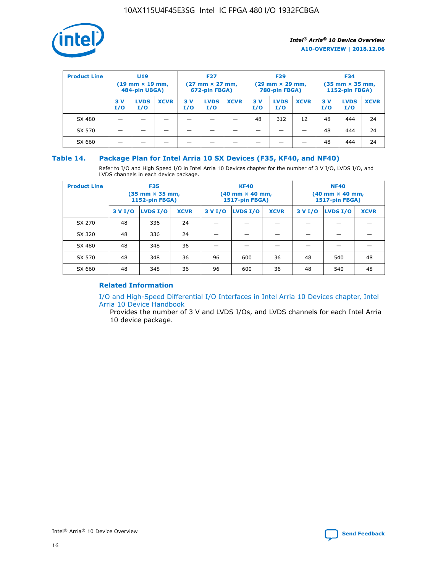

| <b>Product Line</b> | U <sub>19</sub><br>$(19 \text{ mm} \times 19 \text{ mm})$<br>484-pin UBGA) |                    | <b>F27</b><br>$(27 \text{ mm} \times 27 \text{ mm})$<br>672-pin FBGA) |            | <b>F29</b><br>$(29 \text{ mm} \times 29 \text{ mm})$<br>780-pin FBGA) |             |           | <b>F34</b><br>$(35$ mm $\times$ 35 mm,<br><b>1152-pin FBGA)</b> |             |           |                    |             |
|---------------------|----------------------------------------------------------------------------|--------------------|-----------------------------------------------------------------------|------------|-----------------------------------------------------------------------|-------------|-----------|-----------------------------------------------------------------|-------------|-----------|--------------------|-------------|
|                     | 3V<br>I/O                                                                  | <b>LVDS</b><br>I/O | <b>XCVR</b>                                                           | 3 V<br>I/O | <b>LVDS</b><br>I/O                                                    | <b>XCVR</b> | 3V<br>I/O | <b>LVDS</b><br>I/O                                              | <b>XCVR</b> | 3V<br>I/O | <b>LVDS</b><br>I/O | <b>XCVR</b> |
| SX 480              |                                                                            |                    |                                                                       |            |                                                                       |             | 48        | 312                                                             | 12          | 48        | 444                | 24          |
| SX 570              |                                                                            |                    |                                                                       |            |                                                                       |             |           |                                                                 |             | 48        | 444                | 24          |
| SX 660              |                                                                            |                    |                                                                       |            |                                                                       |             |           |                                                                 |             | 48        | 444                | 24          |

## **Table 14. Package Plan for Intel Arria 10 SX Devices (F35, KF40, and NF40)**

Refer to I/O and High Speed I/O in Intel Arria 10 Devices chapter for the number of 3 V I/O, LVDS I/O, and LVDS channels in each device package.

| <b>Product Line</b> | <b>F35</b><br>$(35 \text{ mm} \times 35 \text{ mm})$<br><b>1152-pin FBGA)</b> |          |             |                                           | <b>KF40</b><br>(40 mm × 40 mm,<br>1517-pin FBGA) |    | <b>NF40</b><br>$(40 \text{ mm} \times 40 \text{ mm})$<br>1517-pin FBGA) |          |             |  |
|---------------------|-------------------------------------------------------------------------------|----------|-------------|-------------------------------------------|--------------------------------------------------|----|-------------------------------------------------------------------------|----------|-------------|--|
|                     | 3 V I/O                                                                       | LVDS I/O | <b>XCVR</b> | <b>LVDS I/O</b><br><b>XCVR</b><br>3 V I/O |                                                  |    | 3 V I/O                                                                 | LVDS I/O | <b>XCVR</b> |  |
| SX 270              | 48                                                                            | 336      | 24          |                                           |                                                  |    |                                                                         |          |             |  |
| SX 320              | 48                                                                            | 336      | 24          |                                           |                                                  |    |                                                                         |          |             |  |
| SX 480              | 48                                                                            | 348      | 36          |                                           |                                                  |    |                                                                         |          |             |  |
| SX 570              | 48                                                                            | 348      | 36          | 96                                        | 600                                              | 36 | 48                                                                      | 540      | 48          |  |
| SX 660              | 48                                                                            | 348      | 36          | 96                                        | 600                                              | 36 | 48                                                                      | 540      | 48          |  |

## **Related Information**

[I/O and High-Speed Differential I/O Interfaces in Intel Arria 10 Devices chapter, Intel](https://www.intel.com/content/www/us/en/programmable/documentation/sam1403482614086.html#sam1403482030321) [Arria 10 Device Handbook](https://www.intel.com/content/www/us/en/programmable/documentation/sam1403482614086.html#sam1403482030321)

Provides the number of 3 V and LVDS I/Os, and LVDS channels for each Intel Arria 10 device package.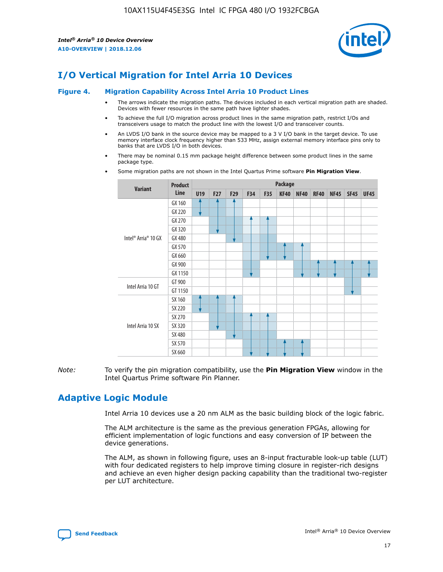

# **I/O Vertical Migration for Intel Arria 10 Devices**

#### **Figure 4. Migration Capability Across Intel Arria 10 Product Lines**

- The arrows indicate the migration paths. The devices included in each vertical migration path are shaded. Devices with fewer resources in the same path have lighter shades.
- To achieve the full I/O migration across product lines in the same migration path, restrict I/Os and transceivers usage to match the product line with the lowest I/O and transceiver counts.
- An LVDS I/O bank in the source device may be mapped to a 3 V I/O bank in the target device. To use memory interface clock frequency higher than 533 MHz, assign external memory interface pins only to banks that are LVDS I/O in both devices.
- There may be nominal 0.15 mm package height difference between some product lines in the same package type.
	- **Variant Product Line Package U19 F27 F29 F34 F35 KF40 NF40 RF40 NF45 SF45 UF45** Intel® Arria® 10 GX GX 160 GX 220 GX 270 GX 320 GX 480 GX 570 GX 660 GX 900 GX 1150 Intel Arria 10 GT GT 900 GT 1150 Intel Arria 10 SX SX 160 SX 220 SX 270 SX 320 SX 480 SX 570 SX 660
- Some migration paths are not shown in the Intel Quartus Prime software **Pin Migration View**.

*Note:* To verify the pin migration compatibility, use the **Pin Migration View** window in the Intel Quartus Prime software Pin Planner.

# **Adaptive Logic Module**

Intel Arria 10 devices use a 20 nm ALM as the basic building block of the logic fabric.

The ALM architecture is the same as the previous generation FPGAs, allowing for efficient implementation of logic functions and easy conversion of IP between the device generations.

The ALM, as shown in following figure, uses an 8-input fracturable look-up table (LUT) with four dedicated registers to help improve timing closure in register-rich designs and achieve an even higher design packing capability than the traditional two-register per LUT architecture.

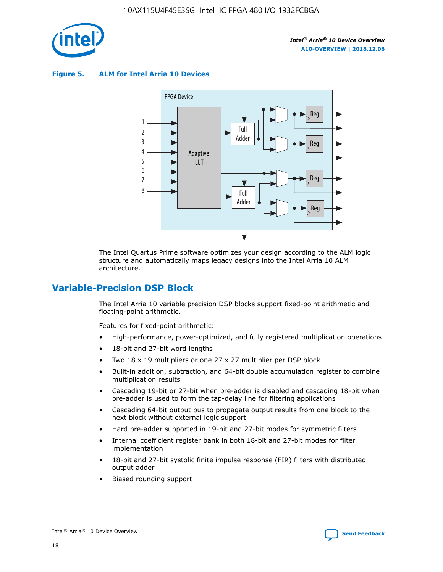

**Figure 5. ALM for Intel Arria 10 Devices**



The Intel Quartus Prime software optimizes your design according to the ALM logic structure and automatically maps legacy designs into the Intel Arria 10 ALM architecture.

## **Variable-Precision DSP Block**

The Intel Arria 10 variable precision DSP blocks support fixed-point arithmetic and floating-point arithmetic.

Features for fixed-point arithmetic:

- High-performance, power-optimized, and fully registered multiplication operations
- 18-bit and 27-bit word lengths
- Two 18 x 19 multipliers or one 27 x 27 multiplier per DSP block
- Built-in addition, subtraction, and 64-bit double accumulation register to combine multiplication results
- Cascading 19-bit or 27-bit when pre-adder is disabled and cascading 18-bit when pre-adder is used to form the tap-delay line for filtering applications
- Cascading 64-bit output bus to propagate output results from one block to the next block without external logic support
- Hard pre-adder supported in 19-bit and 27-bit modes for symmetric filters
- Internal coefficient register bank in both 18-bit and 27-bit modes for filter implementation
- 18-bit and 27-bit systolic finite impulse response (FIR) filters with distributed output adder
- Biased rounding support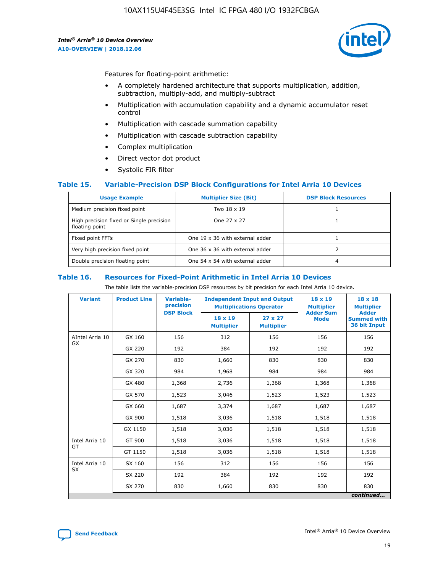

Features for floating-point arithmetic:

- A completely hardened architecture that supports multiplication, addition, subtraction, multiply-add, and multiply-subtract
- Multiplication with accumulation capability and a dynamic accumulator reset control
- Multiplication with cascade summation capability
- Multiplication with cascade subtraction capability
- Complex multiplication
- Direct vector dot product
- Systolic FIR filter

#### **Table 15. Variable-Precision DSP Block Configurations for Intel Arria 10 Devices**

| <b>Usage Example</b>                                       | <b>Multiplier Size (Bit)</b>    | <b>DSP Block Resources</b> |
|------------------------------------------------------------|---------------------------------|----------------------------|
| Medium precision fixed point                               | Two 18 x 19                     |                            |
| High precision fixed or Single precision<br>floating point | One 27 x 27                     |                            |
| Fixed point FFTs                                           | One 19 x 36 with external adder |                            |
| Very high precision fixed point                            | One 36 x 36 with external adder |                            |
| Double precision floating point                            | One 54 x 54 with external adder | 4                          |

#### **Table 16. Resources for Fixed-Point Arithmetic in Intel Arria 10 Devices**

The table lists the variable-precision DSP resources by bit precision for each Intel Arria 10 device.

| <b>Variant</b>  | <b>Product Line</b> | <b>Variable-</b><br>precision<br><b>DSP Block</b> | <b>Independent Input and Output</b><br><b>Multiplications Operator</b> |                                     | 18 x 19<br><b>Multiplier</b><br><b>Adder Sum</b> | $18 \times 18$<br><b>Multiplier</b><br><b>Adder</b> |
|-----------------|---------------------|---------------------------------------------------|------------------------------------------------------------------------|-------------------------------------|--------------------------------------------------|-----------------------------------------------------|
|                 |                     |                                                   | 18 x 19<br><b>Multiplier</b>                                           | $27 \times 27$<br><b>Multiplier</b> | <b>Mode</b>                                      | <b>Summed with</b><br>36 bit Input                  |
| AIntel Arria 10 | GX 160              | 156                                               | 312                                                                    | 156                                 | 156                                              | 156                                                 |
| GX              | GX 220              | 192                                               | 384                                                                    | 192                                 | 192                                              | 192                                                 |
|                 | GX 270              | 830                                               | 1,660                                                                  | 830                                 | 830                                              | 830                                                 |
|                 | GX 320              | 984                                               | 1,968                                                                  | 984                                 | 984                                              | 984                                                 |
|                 | GX 480              | 1,368                                             | 2,736                                                                  | 1,368                               | 1,368                                            | 1,368                                               |
|                 | GX 570              | 1,523                                             | 3,046                                                                  | 1,523                               | 1,523                                            | 1,523                                               |
|                 | GX 660              | 1,687                                             | 3,374                                                                  | 1,687                               | 1,687                                            | 1,687                                               |
|                 | GX 900              | 1,518                                             | 3,036                                                                  | 1,518                               | 1,518                                            | 1,518                                               |
|                 | GX 1150             | 1,518                                             | 3,036                                                                  | 1,518                               | 1,518                                            | 1,518                                               |
| Intel Arria 10  | GT 900              | 1,518                                             | 3,036                                                                  | 1,518                               | 1,518                                            | 1,518                                               |
| GT              | GT 1150             | 1,518                                             | 3,036                                                                  | 1,518                               | 1,518                                            | 1,518                                               |
| Intel Arria 10  | SX 160              | 156                                               | 312                                                                    | 156                                 | 156                                              | 156                                                 |
| <b>SX</b>       | SX 220              | 192                                               | 384                                                                    | 192                                 | 192                                              | 192                                                 |
|                 | SX 270              | 830                                               | 1,660                                                                  | 830                                 | 830                                              | 830                                                 |
|                 |                     |                                                   |                                                                        |                                     |                                                  | continued                                           |

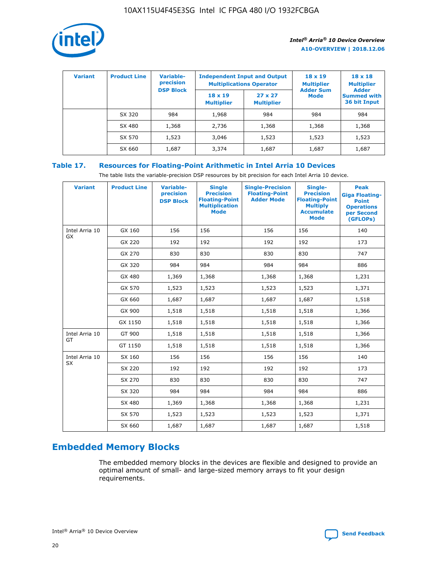

| <b>Variant</b> | <b>Product Line</b> | Variable-<br>precision | <b>Independent Input and Output</b><br><b>Multiplications Operator</b> |                                     | $18 \times 19$<br><b>Multiplier</b> | $18 \times 18$<br><b>Multiplier</b><br><b>Adder</b> |  |
|----------------|---------------------|------------------------|------------------------------------------------------------------------|-------------------------------------|-------------------------------------|-----------------------------------------------------|--|
|                |                     | <b>DSP Block</b>       | $18 \times 19$<br><b>Multiplier</b>                                    | $27 \times 27$<br><b>Multiplier</b> | <b>Adder Sum</b><br><b>Mode</b>     | <b>Summed with</b><br>36 bit Input                  |  |
|                | SX 320              | 984                    | 1,968                                                                  | 984                                 | 984                                 | 984                                                 |  |
|                | SX 480              | 1,368                  | 2,736                                                                  | 1,368                               | 1,368                               | 1,368                                               |  |
|                | SX 570              | 1,523                  | 3,046                                                                  | 1,523                               | 1,523                               | 1,523                                               |  |
|                | SX 660              | 1,687                  | 3,374                                                                  | 1,687                               | 1,687                               | 1,687                                               |  |

## **Table 17. Resources for Floating-Point Arithmetic in Intel Arria 10 Devices**

The table lists the variable-precision DSP resources by bit precision for each Intel Arria 10 device.

| <b>Variant</b> | <b>Product Line</b> | <b>Variable-</b><br>precision<br><b>DSP Block</b> | <b>Single</b><br><b>Precision</b><br><b>Floating-Point</b><br><b>Multiplication</b><br><b>Mode</b> | <b>Single-Precision</b><br><b>Floating-Point</b><br><b>Adder Mode</b> | Single-<br><b>Precision</b><br><b>Floating-Point</b><br><b>Multiply</b><br><b>Accumulate</b><br><b>Mode</b> | <b>Peak</b><br><b>Giga Floating-</b><br><b>Point</b><br><b>Operations</b><br>per Second<br>(GFLOPs) |
|----------------|---------------------|---------------------------------------------------|----------------------------------------------------------------------------------------------------|-----------------------------------------------------------------------|-------------------------------------------------------------------------------------------------------------|-----------------------------------------------------------------------------------------------------|
| Intel Arria 10 | GX 160              | 156                                               | 156                                                                                                | 156                                                                   | 156                                                                                                         | 140                                                                                                 |
| GX             | GX 220              | 192                                               | 192                                                                                                | 192                                                                   | 192                                                                                                         | 173                                                                                                 |
|                | GX 270              | 830                                               | 830                                                                                                | 830                                                                   | 830                                                                                                         | 747                                                                                                 |
|                | GX 320              | 984                                               | 984                                                                                                | 984                                                                   | 984                                                                                                         | 886                                                                                                 |
|                | GX 480              | 1,369                                             | 1,368                                                                                              | 1,368                                                                 | 1,368                                                                                                       | 1,231                                                                                               |
|                | GX 570              | 1,523                                             | 1,523                                                                                              | 1,523                                                                 | 1,523                                                                                                       | 1,371                                                                                               |
|                | GX 660              | 1,687                                             | 1,687                                                                                              | 1,687                                                                 | 1,687                                                                                                       | 1,518                                                                                               |
|                | GX 900              | 1,518                                             | 1,518                                                                                              | 1,518                                                                 | 1,518                                                                                                       | 1,366                                                                                               |
|                | GX 1150             | 1,518                                             | 1,518                                                                                              | 1,518                                                                 | 1,518                                                                                                       | 1,366                                                                                               |
| Intel Arria 10 | GT 900              | 1,518                                             | 1,518                                                                                              | 1,518                                                                 | 1,518                                                                                                       | 1,366                                                                                               |
| GT             | GT 1150             | 1,518                                             | 1,518                                                                                              | 1,518                                                                 | 1,518                                                                                                       | 1,366                                                                                               |
| Intel Arria 10 | SX 160              | 156                                               | 156                                                                                                | 156                                                                   | 156                                                                                                         | 140                                                                                                 |
| <b>SX</b>      | SX 220              | 192                                               | 192                                                                                                | 192                                                                   | 192                                                                                                         | 173                                                                                                 |
|                | SX 270              | 830                                               | 830                                                                                                | 830                                                                   | 830                                                                                                         | 747                                                                                                 |
|                | SX 320              | 984                                               | 984                                                                                                | 984                                                                   | 984                                                                                                         | 886                                                                                                 |
|                | SX 480              | 1,369                                             | 1,368                                                                                              | 1,368                                                                 | 1,368                                                                                                       | 1,231                                                                                               |
|                | SX 570              | 1,523                                             | 1,523                                                                                              | 1,523                                                                 | 1,523                                                                                                       | 1,371                                                                                               |
|                | SX 660              | 1,687                                             | 1,687                                                                                              | 1,687                                                                 | 1,687                                                                                                       | 1,518                                                                                               |

# **Embedded Memory Blocks**

The embedded memory blocks in the devices are flexible and designed to provide an optimal amount of small- and large-sized memory arrays to fit your design requirements.

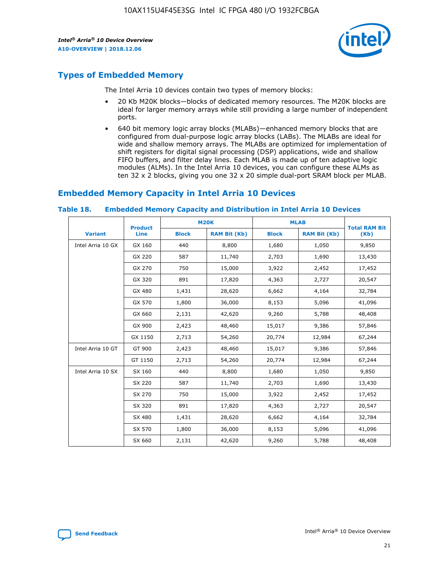

# **Types of Embedded Memory**

The Intel Arria 10 devices contain two types of memory blocks:

- 20 Kb M20K blocks—blocks of dedicated memory resources. The M20K blocks are ideal for larger memory arrays while still providing a large number of independent ports.
- 640 bit memory logic array blocks (MLABs)—enhanced memory blocks that are configured from dual-purpose logic array blocks (LABs). The MLABs are ideal for wide and shallow memory arrays. The MLABs are optimized for implementation of shift registers for digital signal processing (DSP) applications, wide and shallow FIFO buffers, and filter delay lines. Each MLAB is made up of ten adaptive logic modules (ALMs). In the Intel Arria 10 devices, you can configure these ALMs as ten 32 x 2 blocks, giving you one 32 x 20 simple dual-port SRAM block per MLAB.

# **Embedded Memory Capacity in Intel Arria 10 Devices**

|                   | <b>Product</b> | <b>M20K</b>  |                     | <b>MLAB</b>  |                     | <b>Total RAM Bit</b> |  |
|-------------------|----------------|--------------|---------------------|--------------|---------------------|----------------------|--|
| <b>Variant</b>    | <b>Line</b>    | <b>Block</b> | <b>RAM Bit (Kb)</b> | <b>Block</b> | <b>RAM Bit (Kb)</b> | (Kb)                 |  |
| Intel Arria 10 GX | GX 160         | 440          | 8,800               | 1,680        | 1,050               | 9,850                |  |
|                   | GX 220         | 587          | 11,740              | 2,703        | 1,690               | 13,430               |  |
|                   | GX 270         | 750          | 15,000              | 3,922        | 2,452               | 17,452               |  |
|                   | GX 320         | 891          | 17,820              | 4,363        | 2,727               | 20,547               |  |
|                   | GX 480         | 1,431        | 28,620              | 6,662        | 4,164               | 32,784               |  |
|                   | GX 570         | 1,800        | 36,000              | 8,153        | 5,096               | 41,096               |  |
|                   | GX 660         | 2,131        | 42,620              | 9,260        | 5,788               | 48,408               |  |
|                   | GX 900         | 2,423        | 48,460              | 15,017       | 9,386               | 57,846               |  |
|                   | GX 1150        | 2,713        | 54,260              | 20,774       | 12,984              | 67,244               |  |
| Intel Arria 10 GT | GT 900         | 2,423        | 48,460              | 15,017       | 9,386               | 57,846               |  |
|                   | GT 1150        | 2,713        | 54,260              | 20,774       | 12,984              | 67,244               |  |
| Intel Arria 10 SX | SX 160         | 440          | 8,800               | 1,680        | 1,050               | 9,850                |  |
|                   | SX 220         | 587          | 11,740              | 2,703        | 1,690               | 13,430               |  |
|                   | SX 270         | 750          | 15,000              | 3,922        | 2,452               | 17,452               |  |
|                   | SX 320         | 891          | 17,820              | 4,363        | 2,727               | 20,547               |  |
|                   | SX 480         | 1,431        | 28,620              | 6,662        | 4,164               | 32,784               |  |
|                   | SX 570         | 1,800        | 36,000              | 8,153        | 5,096               | 41,096               |  |
|                   | SX 660         | 2,131        | 42,620              | 9,260        | 5,788               | 48,408               |  |

#### **Table 18. Embedded Memory Capacity and Distribution in Intel Arria 10 Devices**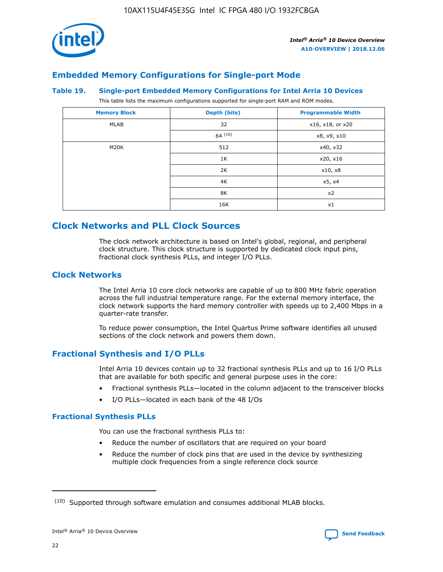

## **Embedded Memory Configurations for Single-port Mode**

#### **Table 19. Single-port Embedded Memory Configurations for Intel Arria 10 Devices**

This table lists the maximum configurations supported for single-port RAM and ROM modes.

| <b>Memory Block</b> | Depth (bits) | <b>Programmable Width</b> |
|---------------------|--------------|---------------------------|
| MLAB                | 32           | x16, x18, or x20          |
|                     | 64(10)       | x8, x9, x10               |
| M20K                | 512          | x40, x32                  |
|                     | 1K           | x20, x16                  |
|                     | 2K           | x10, x8                   |
|                     | 4K           | x5, x4                    |
|                     | 8K           | x2                        |
|                     | 16K          | x1                        |

## **Clock Networks and PLL Clock Sources**

The clock network architecture is based on Intel's global, regional, and peripheral clock structure. This clock structure is supported by dedicated clock input pins, fractional clock synthesis PLLs, and integer I/O PLLs.

## **Clock Networks**

The Intel Arria 10 core clock networks are capable of up to 800 MHz fabric operation across the full industrial temperature range. For the external memory interface, the clock network supports the hard memory controller with speeds up to 2,400 Mbps in a quarter-rate transfer.

To reduce power consumption, the Intel Quartus Prime software identifies all unused sections of the clock network and powers them down.

## **Fractional Synthesis and I/O PLLs**

Intel Arria 10 devices contain up to 32 fractional synthesis PLLs and up to 16 I/O PLLs that are available for both specific and general purpose uses in the core:

- Fractional synthesis PLLs—located in the column adjacent to the transceiver blocks
- I/O PLLs—located in each bank of the 48 I/Os

#### **Fractional Synthesis PLLs**

You can use the fractional synthesis PLLs to:

- Reduce the number of oscillators that are required on your board
- Reduce the number of clock pins that are used in the device by synthesizing multiple clock frequencies from a single reference clock source

<sup>(10)</sup> Supported through software emulation and consumes additional MLAB blocks.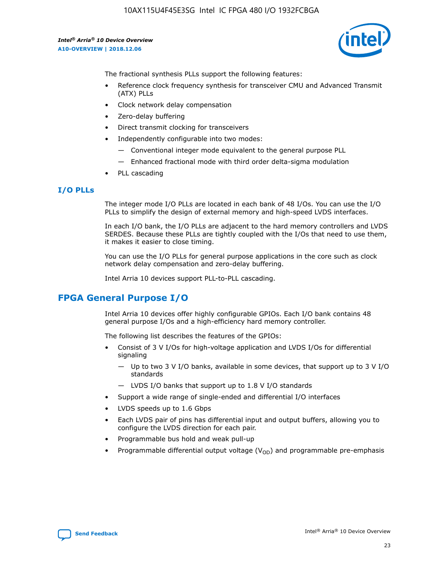10AX115U4F45E3SG Intel IC FPGA 480 I/O 1932FCBGA

*Intel® Arria® 10 Device Overview* **A10-OVERVIEW | 2018.12.06**



The fractional synthesis PLLs support the following features:

- Reference clock frequency synthesis for transceiver CMU and Advanced Transmit (ATX) PLLs
- Clock network delay compensation
- Zero-delay buffering
- Direct transmit clocking for transceivers
- Independently configurable into two modes:
	- Conventional integer mode equivalent to the general purpose PLL
	- Enhanced fractional mode with third order delta-sigma modulation
- PLL cascading

## **I/O PLLs**

The integer mode I/O PLLs are located in each bank of 48 I/Os. You can use the I/O PLLs to simplify the design of external memory and high-speed LVDS interfaces.

In each I/O bank, the I/O PLLs are adjacent to the hard memory controllers and LVDS SERDES. Because these PLLs are tightly coupled with the I/Os that need to use them, it makes it easier to close timing.

You can use the I/O PLLs for general purpose applications in the core such as clock network delay compensation and zero-delay buffering.

Intel Arria 10 devices support PLL-to-PLL cascading.

# **FPGA General Purpose I/O**

Intel Arria 10 devices offer highly configurable GPIOs. Each I/O bank contains 48 general purpose I/Os and a high-efficiency hard memory controller.

The following list describes the features of the GPIOs:

- Consist of 3 V I/Os for high-voltage application and LVDS I/Os for differential signaling
	- Up to two 3 V I/O banks, available in some devices, that support up to 3 V I/O standards
	- LVDS I/O banks that support up to 1.8 V I/O standards
- Support a wide range of single-ended and differential I/O interfaces
- LVDS speeds up to 1.6 Gbps
- Each LVDS pair of pins has differential input and output buffers, allowing you to configure the LVDS direction for each pair.
- Programmable bus hold and weak pull-up
- Programmable differential output voltage  $(V_{OD})$  and programmable pre-emphasis

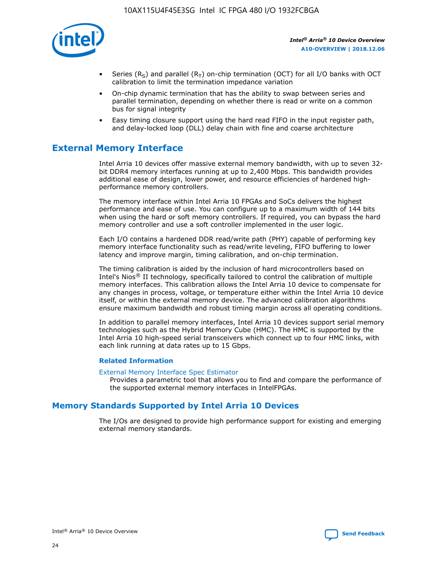

- Series (R<sub>S</sub>) and parallel (R<sub>T</sub>) on-chip termination (OCT) for all I/O banks with OCT calibration to limit the termination impedance variation
- On-chip dynamic termination that has the ability to swap between series and parallel termination, depending on whether there is read or write on a common bus for signal integrity
- Easy timing closure support using the hard read FIFO in the input register path, and delay-locked loop (DLL) delay chain with fine and coarse architecture

# **External Memory Interface**

Intel Arria 10 devices offer massive external memory bandwidth, with up to seven 32 bit DDR4 memory interfaces running at up to 2,400 Mbps. This bandwidth provides additional ease of design, lower power, and resource efficiencies of hardened highperformance memory controllers.

The memory interface within Intel Arria 10 FPGAs and SoCs delivers the highest performance and ease of use. You can configure up to a maximum width of 144 bits when using the hard or soft memory controllers. If required, you can bypass the hard memory controller and use a soft controller implemented in the user logic.

Each I/O contains a hardened DDR read/write path (PHY) capable of performing key memory interface functionality such as read/write leveling, FIFO buffering to lower latency and improve margin, timing calibration, and on-chip termination.

The timing calibration is aided by the inclusion of hard microcontrollers based on Intel's Nios® II technology, specifically tailored to control the calibration of multiple memory interfaces. This calibration allows the Intel Arria 10 device to compensate for any changes in process, voltage, or temperature either within the Intel Arria 10 device itself, or within the external memory device. The advanced calibration algorithms ensure maximum bandwidth and robust timing margin across all operating conditions.

In addition to parallel memory interfaces, Intel Arria 10 devices support serial memory technologies such as the Hybrid Memory Cube (HMC). The HMC is supported by the Intel Arria 10 high-speed serial transceivers which connect up to four HMC links, with each link running at data rates up to 15 Gbps.

#### **Related Information**

#### [External Memory Interface Spec Estimator](http://www.altera.com/technology/memory/estimator/mem-emif-index.html)

Provides a parametric tool that allows you to find and compare the performance of the supported external memory interfaces in IntelFPGAs.

## **Memory Standards Supported by Intel Arria 10 Devices**

The I/Os are designed to provide high performance support for existing and emerging external memory standards.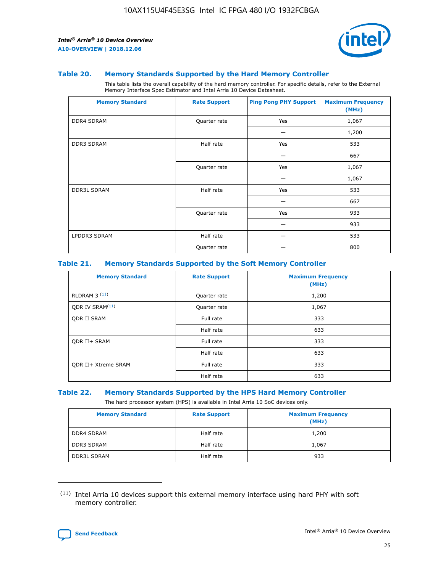

#### **Table 20. Memory Standards Supported by the Hard Memory Controller**

This table lists the overall capability of the hard memory controller. For specific details, refer to the External Memory Interface Spec Estimator and Intel Arria 10 Device Datasheet.

| <b>Memory Standard</b> | <b>Rate Support</b> | <b>Ping Pong PHY Support</b> | <b>Maximum Frequency</b><br>(MHz) |
|------------------------|---------------------|------------------------------|-----------------------------------|
| <b>DDR4 SDRAM</b>      | Quarter rate        | Yes                          | 1,067                             |
|                        |                     |                              | 1,200                             |
| DDR3 SDRAM             | Half rate           | Yes                          | 533                               |
|                        |                     |                              | 667                               |
|                        | Quarter rate        | Yes                          | 1,067                             |
|                        |                     |                              | 1,067                             |
| <b>DDR3L SDRAM</b>     | Half rate           | Yes                          | 533                               |
|                        |                     |                              | 667                               |
|                        | Quarter rate        | Yes                          | 933                               |
|                        |                     |                              | 933                               |
| LPDDR3 SDRAM           | Half rate           |                              | 533                               |
|                        | Quarter rate        |                              | 800                               |

#### **Table 21. Memory Standards Supported by the Soft Memory Controller**

| <b>Memory Standard</b>      | <b>Rate Support</b> | <b>Maximum Frequency</b><br>(MHz) |
|-----------------------------|---------------------|-----------------------------------|
| <b>RLDRAM 3 (11)</b>        | Quarter rate        | 1,200                             |
| ODR IV SRAM <sup>(11)</sup> | Quarter rate        | 1,067                             |
| <b>ODR II SRAM</b>          | Full rate           | 333                               |
|                             | Half rate           | 633                               |
| <b>ODR II+ SRAM</b>         | Full rate           | 333                               |
|                             | Half rate           | 633                               |
| <b>ODR II+ Xtreme SRAM</b>  | Full rate           | 333                               |
|                             | Half rate           | 633                               |

#### **Table 22. Memory Standards Supported by the HPS Hard Memory Controller**

The hard processor system (HPS) is available in Intel Arria 10 SoC devices only.

| <b>Memory Standard</b> | <b>Rate Support</b> | <b>Maximum Frequency</b><br>(MHz) |
|------------------------|---------------------|-----------------------------------|
| <b>DDR4 SDRAM</b>      | Half rate           | 1,200                             |
| DDR3 SDRAM             | Half rate           | 1,067                             |
| <b>DDR3L SDRAM</b>     | Half rate           | 933                               |

<sup>(11)</sup> Intel Arria 10 devices support this external memory interface using hard PHY with soft memory controller.

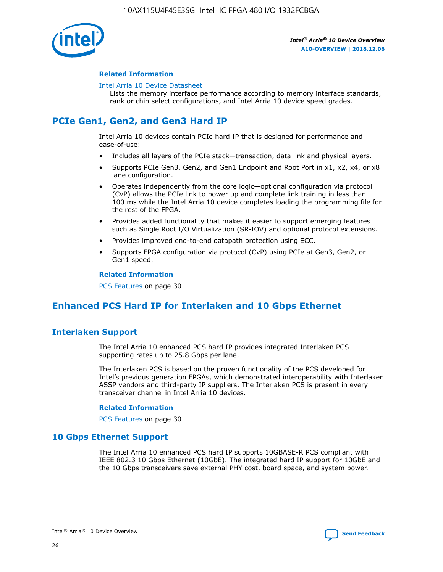

#### **Related Information**

#### [Intel Arria 10 Device Datasheet](https://www.intel.com/content/www/us/en/programmable/documentation/mcn1413182292568.html#mcn1413182153340)

Lists the memory interface performance according to memory interface standards, rank or chip select configurations, and Intel Arria 10 device speed grades.

# **PCIe Gen1, Gen2, and Gen3 Hard IP**

Intel Arria 10 devices contain PCIe hard IP that is designed for performance and ease-of-use:

- Includes all layers of the PCIe stack—transaction, data link and physical layers.
- Supports PCIe Gen3, Gen2, and Gen1 Endpoint and Root Port in x1, x2, x4, or x8 lane configuration.
- Operates independently from the core logic—optional configuration via protocol (CvP) allows the PCIe link to power up and complete link training in less than 100 ms while the Intel Arria 10 device completes loading the programming file for the rest of the FPGA.
- Provides added functionality that makes it easier to support emerging features such as Single Root I/O Virtualization (SR-IOV) and optional protocol extensions.
- Provides improved end-to-end datapath protection using ECC.
- Supports FPGA configuration via protocol (CvP) using PCIe at Gen3, Gen2, or Gen1 speed.

#### **Related Information**

PCS Features on page 30

# **Enhanced PCS Hard IP for Interlaken and 10 Gbps Ethernet**

## **Interlaken Support**

The Intel Arria 10 enhanced PCS hard IP provides integrated Interlaken PCS supporting rates up to 25.8 Gbps per lane.

The Interlaken PCS is based on the proven functionality of the PCS developed for Intel's previous generation FPGAs, which demonstrated interoperability with Interlaken ASSP vendors and third-party IP suppliers. The Interlaken PCS is present in every transceiver channel in Intel Arria 10 devices.

#### **Related Information**

PCS Features on page 30

## **10 Gbps Ethernet Support**

The Intel Arria 10 enhanced PCS hard IP supports 10GBASE-R PCS compliant with IEEE 802.3 10 Gbps Ethernet (10GbE). The integrated hard IP support for 10GbE and the 10 Gbps transceivers save external PHY cost, board space, and system power.

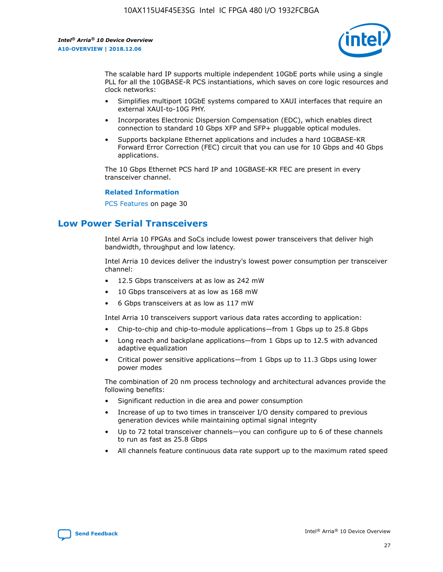

The scalable hard IP supports multiple independent 10GbE ports while using a single PLL for all the 10GBASE-R PCS instantiations, which saves on core logic resources and clock networks:

- Simplifies multiport 10GbE systems compared to XAUI interfaces that require an external XAUI-to-10G PHY.
- Incorporates Electronic Dispersion Compensation (EDC), which enables direct connection to standard 10 Gbps XFP and SFP+ pluggable optical modules.
- Supports backplane Ethernet applications and includes a hard 10GBASE-KR Forward Error Correction (FEC) circuit that you can use for 10 Gbps and 40 Gbps applications.

The 10 Gbps Ethernet PCS hard IP and 10GBASE-KR FEC are present in every transceiver channel.

#### **Related Information**

PCS Features on page 30

# **Low Power Serial Transceivers**

Intel Arria 10 FPGAs and SoCs include lowest power transceivers that deliver high bandwidth, throughput and low latency.

Intel Arria 10 devices deliver the industry's lowest power consumption per transceiver channel:

- 12.5 Gbps transceivers at as low as 242 mW
- 10 Gbps transceivers at as low as 168 mW
- 6 Gbps transceivers at as low as 117 mW

Intel Arria 10 transceivers support various data rates according to application:

- Chip-to-chip and chip-to-module applications—from 1 Gbps up to 25.8 Gbps
- Long reach and backplane applications—from 1 Gbps up to 12.5 with advanced adaptive equalization
- Critical power sensitive applications—from 1 Gbps up to 11.3 Gbps using lower power modes

The combination of 20 nm process technology and architectural advances provide the following benefits:

- Significant reduction in die area and power consumption
- Increase of up to two times in transceiver I/O density compared to previous generation devices while maintaining optimal signal integrity
- Up to 72 total transceiver channels—you can configure up to 6 of these channels to run as fast as 25.8 Gbps
- All channels feature continuous data rate support up to the maximum rated speed

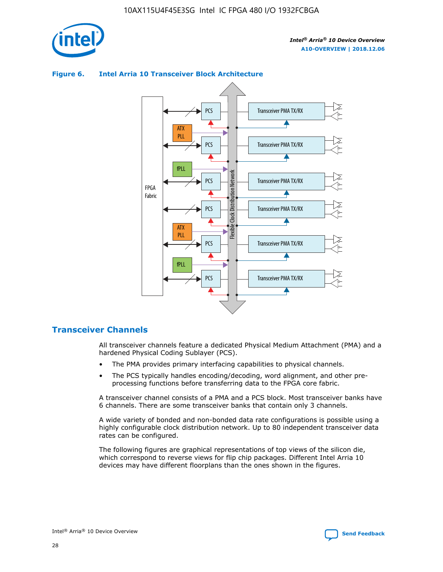

## Transceiver PMA TX/RX PCS ATX PLL Transceiver PMA TX/RX PCS fPLL Network Flexible Clock Distribution Network PCS Transceiver PMA TX/RX FPGA **Clock Distribution** Fabric PCS Transceiver PMA TX/RX ATX Flexible PLL PCS Transceiver PMA TX/RX ▲ fPLL Transceiver PMA TX/RX PCS 4

## **Figure 6. Intel Arria 10 Transceiver Block Architecture**

## **Transceiver Channels**

All transceiver channels feature a dedicated Physical Medium Attachment (PMA) and a hardened Physical Coding Sublayer (PCS).

- The PMA provides primary interfacing capabilities to physical channels.
- The PCS typically handles encoding/decoding, word alignment, and other preprocessing functions before transferring data to the FPGA core fabric.

A transceiver channel consists of a PMA and a PCS block. Most transceiver banks have 6 channels. There are some transceiver banks that contain only 3 channels.

A wide variety of bonded and non-bonded data rate configurations is possible using a highly configurable clock distribution network. Up to 80 independent transceiver data rates can be configured.

The following figures are graphical representations of top views of the silicon die, which correspond to reverse views for flip chip packages. Different Intel Arria 10 devices may have different floorplans than the ones shown in the figures.

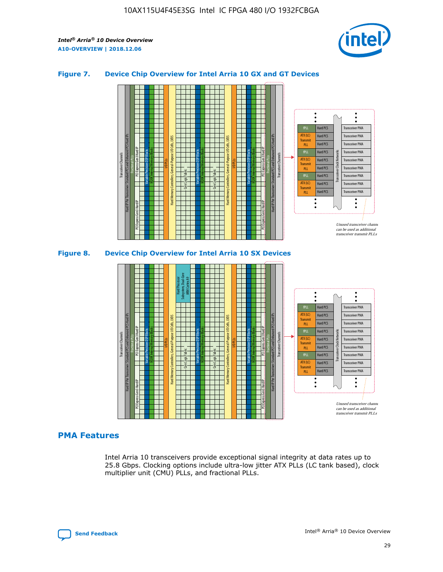

## **Figure 7. Device Chip Overview for Intel Arria 10 GX and GT Devices**





## **PMA Features**

Intel Arria 10 transceivers provide exceptional signal integrity at data rates up to 25.8 Gbps. Clocking options include ultra-low jitter ATX PLLs (LC tank based), clock multiplier unit (CMU) PLLs, and fractional PLLs.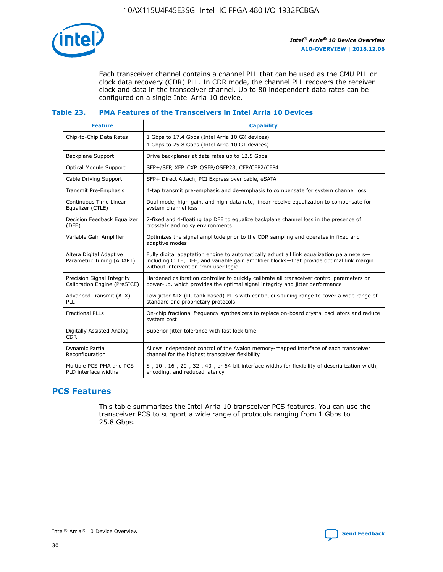

Each transceiver channel contains a channel PLL that can be used as the CMU PLL or clock data recovery (CDR) PLL. In CDR mode, the channel PLL recovers the receiver clock and data in the transceiver channel. Up to 80 independent data rates can be configured on a single Intel Arria 10 device.

## **Table 23. PMA Features of the Transceivers in Intel Arria 10 Devices**

| <b>Feature</b>                                             | <b>Capability</b>                                                                                                                                                                                                             |
|------------------------------------------------------------|-------------------------------------------------------------------------------------------------------------------------------------------------------------------------------------------------------------------------------|
| Chip-to-Chip Data Rates                                    | 1 Gbps to 17.4 Gbps (Intel Arria 10 GX devices)<br>1 Gbps to 25.8 Gbps (Intel Arria 10 GT devices)                                                                                                                            |
| <b>Backplane Support</b>                                   | Drive backplanes at data rates up to 12.5 Gbps                                                                                                                                                                                |
| <b>Optical Module Support</b>                              | SFP+/SFP, XFP, CXP, QSFP/QSFP28, CFP/CFP2/CFP4                                                                                                                                                                                |
| Cable Driving Support                                      | SFP+ Direct Attach, PCI Express over cable, eSATA                                                                                                                                                                             |
| Transmit Pre-Emphasis                                      | 4-tap transmit pre-emphasis and de-emphasis to compensate for system channel loss                                                                                                                                             |
| Continuous Time Linear<br>Equalizer (CTLE)                 | Dual mode, high-gain, and high-data rate, linear receive equalization to compensate for<br>system channel loss                                                                                                                |
| Decision Feedback Equalizer<br>(DFE)                       | 7-fixed and 4-floating tap DFE to equalize backplane channel loss in the presence of<br>crosstalk and noisy environments                                                                                                      |
| Variable Gain Amplifier                                    | Optimizes the signal amplitude prior to the CDR sampling and operates in fixed and<br>adaptive modes                                                                                                                          |
| Altera Digital Adaptive<br>Parametric Tuning (ADAPT)       | Fully digital adaptation engine to automatically adjust all link equalization parameters-<br>including CTLE, DFE, and variable gain amplifier blocks—that provide optimal link margin<br>without intervention from user logic |
| Precision Signal Integrity<br>Calibration Engine (PreSICE) | Hardened calibration controller to quickly calibrate all transceiver control parameters on<br>power-up, which provides the optimal signal integrity and jitter performance                                                    |
| Advanced Transmit (ATX)<br><b>PLL</b>                      | Low jitter ATX (LC tank based) PLLs with continuous tuning range to cover a wide range of<br>standard and proprietary protocols                                                                                               |
| <b>Fractional PLLs</b>                                     | On-chip fractional frequency synthesizers to replace on-board crystal oscillators and reduce<br>system cost                                                                                                                   |
| Digitally Assisted Analog<br><b>CDR</b>                    | Superior jitter tolerance with fast lock time                                                                                                                                                                                 |
| Dynamic Partial<br>Reconfiguration                         | Allows independent control of the Avalon memory-mapped interface of each transceiver<br>channel for the highest transceiver flexibility                                                                                       |
| Multiple PCS-PMA and PCS-<br>PLD interface widths          | 8-, 10-, 16-, 20-, 32-, 40-, or 64-bit interface widths for flexibility of deserialization width,<br>encoding, and reduced latency                                                                                            |

## **PCS Features**

This table summarizes the Intel Arria 10 transceiver PCS features. You can use the transceiver PCS to support a wide range of protocols ranging from 1 Gbps to 25.8 Gbps.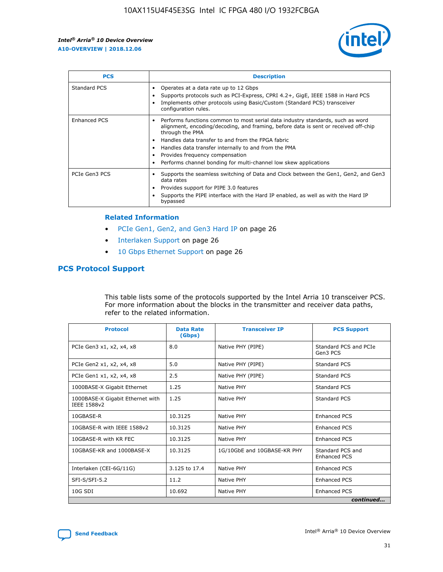

| <b>PCS</b>    | <b>Description</b>                                                                                                                                                                                                                                                                                                                                                                                             |
|---------------|----------------------------------------------------------------------------------------------------------------------------------------------------------------------------------------------------------------------------------------------------------------------------------------------------------------------------------------------------------------------------------------------------------------|
| Standard PCS  | Operates at a data rate up to 12 Gbps<br>Supports protocols such as PCI-Express, CPRI 4.2+, GigE, IEEE 1588 in Hard PCS<br>Implements other protocols using Basic/Custom (Standard PCS) transceiver<br>configuration rules.                                                                                                                                                                                    |
| Enhanced PCS  | Performs functions common to most serial data industry standards, such as word<br>alignment, encoding/decoding, and framing, before data is sent or received off-chip<br>through the PMA<br>• Handles data transfer to and from the FPGA fabric<br>Handles data transfer internally to and from the PMA<br>Provides frequency compensation<br>Performs channel bonding for multi-channel low skew applications |
| PCIe Gen3 PCS | Supports the seamless switching of Data and Clock between the Gen1, Gen2, and Gen3<br>data rates<br>Provides support for PIPE 3.0 features<br>Supports the PIPE interface with the Hard IP enabled, as well as with the Hard IP<br>bypassed                                                                                                                                                                    |

#### **Related Information**

- PCIe Gen1, Gen2, and Gen3 Hard IP on page 26
- Interlaken Support on page 26
- 10 Gbps Ethernet Support on page 26

## **PCS Protocol Support**

This table lists some of the protocols supported by the Intel Arria 10 transceiver PCS. For more information about the blocks in the transmitter and receiver data paths, refer to the related information.

| <b>Protocol</b>                                 | <b>Data Rate</b><br>(Gbps) | <b>Transceiver IP</b>       | <b>PCS Support</b>                      |
|-------------------------------------------------|----------------------------|-----------------------------|-----------------------------------------|
| PCIe Gen3 x1, x2, x4, x8                        | 8.0                        | Native PHY (PIPE)           | Standard PCS and PCIe<br>Gen3 PCS       |
| PCIe Gen2 x1, x2, x4, x8                        | 5.0                        | Native PHY (PIPE)           | <b>Standard PCS</b>                     |
| PCIe Gen1 x1, x2, x4, x8                        | 2.5                        | Native PHY (PIPE)           | Standard PCS                            |
| 1000BASE-X Gigabit Ethernet                     | 1.25                       | Native PHY                  | <b>Standard PCS</b>                     |
| 1000BASE-X Gigabit Ethernet with<br>IEEE 1588v2 | 1.25                       | Native PHY                  | Standard PCS                            |
| 10GBASE-R                                       | 10.3125                    | Native PHY                  | <b>Enhanced PCS</b>                     |
| 10GBASE-R with IEEE 1588v2                      | 10.3125                    | Native PHY                  | <b>Enhanced PCS</b>                     |
| 10GBASE-R with KR FEC                           | 10.3125                    | Native PHY                  | <b>Enhanced PCS</b>                     |
| 10GBASE-KR and 1000BASE-X                       | 10.3125                    | 1G/10GbE and 10GBASE-KR PHY | Standard PCS and<br><b>Enhanced PCS</b> |
| Interlaken (CEI-6G/11G)                         | 3.125 to 17.4              | Native PHY                  | <b>Enhanced PCS</b>                     |
| SFI-S/SFI-5.2                                   | 11.2                       | Native PHY                  | <b>Enhanced PCS</b>                     |
| $10G$ SDI                                       | 10.692                     | Native PHY                  | <b>Enhanced PCS</b>                     |
|                                                 |                            |                             | continued                               |

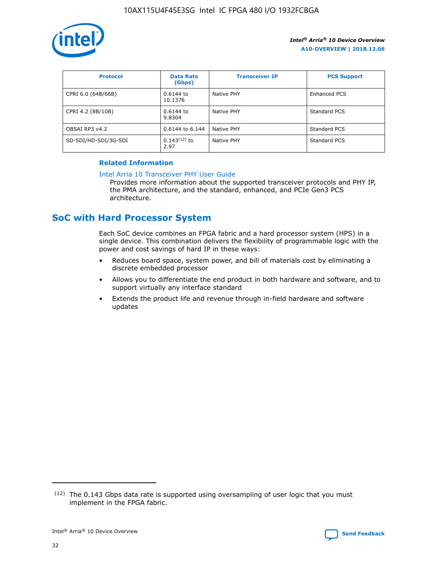

| <b>Protocol</b>      | <b>Data Rate</b><br>(Gbps) | <b>Transceiver IP</b> | <b>PCS Support</b> |
|----------------------|----------------------------|-----------------------|--------------------|
| CPRI 6.0 (64B/66B)   | 0.6144 to<br>10.1376       | Native PHY            | Enhanced PCS       |
| CPRI 4.2 (8B/10B)    | 0.6144 to<br>9.8304        | Native PHY            | Standard PCS       |
| OBSAI RP3 v4.2       | 0.6144 to 6.144            | Native PHY            | Standard PCS       |
| SD-SDI/HD-SDI/3G-SDI | $0.143(12)$ to<br>2.97     | Native PHY            | Standard PCS       |

## **Related Information**

#### [Intel Arria 10 Transceiver PHY User Guide](https://www.intel.com/content/www/us/en/programmable/documentation/nik1398707230472.html#nik1398707091164)

Provides more information about the supported transceiver protocols and PHY IP, the PMA architecture, and the standard, enhanced, and PCIe Gen3 PCS architecture.

# **SoC with Hard Processor System**

Each SoC device combines an FPGA fabric and a hard processor system (HPS) in a single device. This combination delivers the flexibility of programmable logic with the power and cost savings of hard IP in these ways:

- Reduces board space, system power, and bill of materials cost by eliminating a discrete embedded processor
- Allows you to differentiate the end product in both hardware and software, and to support virtually any interface standard
- Extends the product life and revenue through in-field hardware and software updates

 $(12)$  The 0.143 Gbps data rate is supported using oversampling of user logic that you must implement in the FPGA fabric.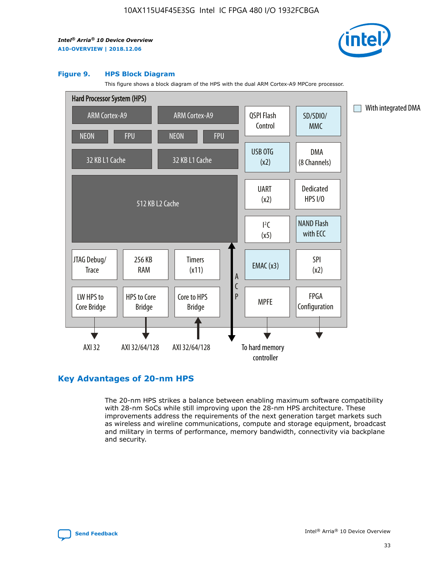

#### **Figure 9. HPS Block Diagram**

This figure shows a block diagram of the HPS with the dual ARM Cortex-A9 MPCore processor.



## **Key Advantages of 20-nm HPS**

The 20-nm HPS strikes a balance between enabling maximum software compatibility with 28-nm SoCs while still improving upon the 28-nm HPS architecture. These improvements address the requirements of the next generation target markets such as wireless and wireline communications, compute and storage equipment, broadcast and military in terms of performance, memory bandwidth, connectivity via backplane and security.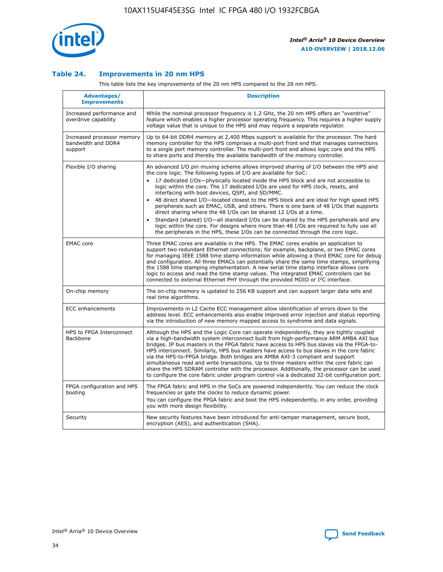

## **Table 24. Improvements in 20 nm HPS**

This table lists the key improvements of the 20 nm HPS compared to the 28 nm HPS.

| Advantages/<br><b>Improvements</b>                          | <b>Description</b>                                                                                                                                                                                                                                                                                                                                                                                                                                                                                                                                                                                                                                                                                                                                                                                                                                                                                                      |
|-------------------------------------------------------------|-------------------------------------------------------------------------------------------------------------------------------------------------------------------------------------------------------------------------------------------------------------------------------------------------------------------------------------------------------------------------------------------------------------------------------------------------------------------------------------------------------------------------------------------------------------------------------------------------------------------------------------------------------------------------------------------------------------------------------------------------------------------------------------------------------------------------------------------------------------------------------------------------------------------------|
| Increased performance and<br>overdrive capability           | While the nominal processor frequency is 1.2 GHz, the 20 nm HPS offers an "overdrive"<br>feature which enables a higher processor operating frequency. This requires a higher supply<br>voltage value that is unique to the HPS and may require a separate regulator.                                                                                                                                                                                                                                                                                                                                                                                                                                                                                                                                                                                                                                                   |
| Increased processor memory<br>bandwidth and DDR4<br>support | Up to 64-bit DDR4 memory at 2,400 Mbps support is available for the processor. The hard<br>memory controller for the HPS comprises a multi-port front end that manages connections<br>to a single port memory controller. The multi-port front end allows logic core and the HPS<br>to share ports and thereby the available bandwidth of the memory controller.                                                                                                                                                                                                                                                                                                                                                                                                                                                                                                                                                        |
| Flexible I/O sharing                                        | An advanced I/O pin muxing scheme allows improved sharing of I/O between the HPS and<br>the core logic. The following types of I/O are available for SoC:<br>17 dedicated I/Os-physically located inside the HPS block and are not accessible to<br>logic within the core. The 17 dedicated I/Os are used for HPS clock, resets, and<br>interfacing with boot devices, QSPI, and SD/MMC.<br>48 direct shared I/O-located closest to the HPS block and are ideal for high speed HPS<br>peripherals such as EMAC, USB, and others. There is one bank of 48 I/Os that supports<br>direct sharing where the 48 I/Os can be shared 12 I/Os at a time.<br>Standard (shared) I/O—all standard I/Os can be shared by the HPS peripherals and any<br>logic within the core. For designs where more than 48 I/Os are required to fully use all<br>the peripherals in the HPS, these I/Os can be connected through the core logic. |
| <b>EMAC</b> core                                            | Three EMAC cores are available in the HPS. The EMAC cores enable an application to<br>support two redundant Ethernet connections; for example, backplane, or two EMAC cores<br>for managing IEEE 1588 time stamp information while allowing a third EMAC core for debug<br>and configuration. All three EMACs can potentially share the same time stamps, simplifying<br>the 1588 time stamping implementation. A new serial time stamp interface allows core<br>logic to access and read the time stamp values. The integrated EMAC controllers can be<br>connected to external Ethernet PHY through the provided MDIO or I <sup>2</sup> C interface.                                                                                                                                                                                                                                                                  |
| On-chip memory                                              | The on-chip memory is updated to 256 KB support and can support larger data sets and<br>real time algorithms.                                                                                                                                                                                                                                                                                                                                                                                                                                                                                                                                                                                                                                                                                                                                                                                                           |
| ECC enhancements                                            | Improvements in L2 Cache ECC management allow identification of errors down to the<br>address level. ECC enhancements also enable improved error injection and status reporting<br>via the introduction of new memory mapped access to syndrome and data signals.                                                                                                                                                                                                                                                                                                                                                                                                                                                                                                                                                                                                                                                       |
| HPS to FPGA Interconnect<br><b>Backbone</b>                 | Although the HPS and the Logic Core can operate independently, they are tightly coupled<br>via a high-bandwidth system interconnect built from high-performance ARM AMBA AXI bus<br>bridges. IP bus masters in the FPGA fabric have access to HPS bus slaves via the FPGA-to-<br>HPS interconnect. Similarly, HPS bus masters have access to bus slaves in the core fabric<br>via the HPS-to-FPGA bridge. Both bridges are AMBA AXI-3 compliant and support<br>simultaneous read and write transactions. Up to three masters within the core fabric can<br>share the HPS SDRAM controller with the processor. Additionally, the processor can be used<br>to configure the core fabric under program control via a dedicated 32-bit configuration port.                                                                                                                                                                  |
| FPGA configuration and HPS<br>booting                       | The FPGA fabric and HPS in the SoCs are powered independently. You can reduce the clock<br>frequencies or gate the clocks to reduce dynamic power.<br>You can configure the FPGA fabric and boot the HPS independently, in any order, providing<br>you with more design flexibility.                                                                                                                                                                                                                                                                                                                                                                                                                                                                                                                                                                                                                                    |
| Security                                                    | New security features have been introduced for anti-tamper management, secure boot,<br>encryption (AES), and authentication (SHA).                                                                                                                                                                                                                                                                                                                                                                                                                                                                                                                                                                                                                                                                                                                                                                                      |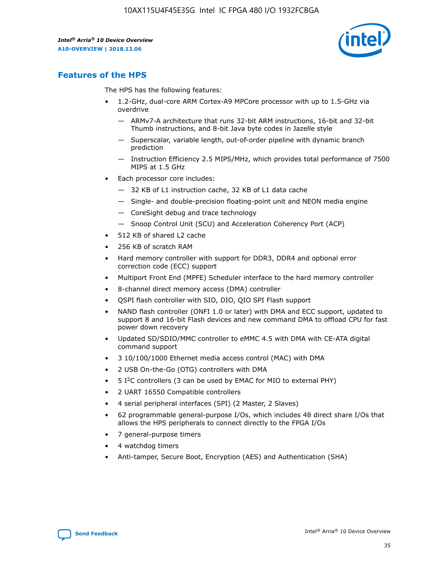

## **Features of the HPS**

The HPS has the following features:

- 1.2-GHz, dual-core ARM Cortex-A9 MPCore processor with up to 1.5-GHz via overdrive
	- ARMv7-A architecture that runs 32-bit ARM instructions, 16-bit and 32-bit Thumb instructions, and 8-bit Java byte codes in Jazelle style
	- Superscalar, variable length, out-of-order pipeline with dynamic branch prediction
	- Instruction Efficiency 2.5 MIPS/MHz, which provides total performance of 7500 MIPS at 1.5 GHz
- Each processor core includes:
	- 32 KB of L1 instruction cache, 32 KB of L1 data cache
	- Single- and double-precision floating-point unit and NEON media engine
	- CoreSight debug and trace technology
	- Snoop Control Unit (SCU) and Acceleration Coherency Port (ACP)
- 512 KB of shared L2 cache
- 256 KB of scratch RAM
- Hard memory controller with support for DDR3, DDR4 and optional error correction code (ECC) support
- Multiport Front End (MPFE) Scheduler interface to the hard memory controller
- 8-channel direct memory access (DMA) controller
- QSPI flash controller with SIO, DIO, QIO SPI Flash support
- NAND flash controller (ONFI 1.0 or later) with DMA and ECC support, updated to support 8 and 16-bit Flash devices and new command DMA to offload CPU for fast power down recovery
- Updated SD/SDIO/MMC controller to eMMC 4.5 with DMA with CE-ATA digital command support
- 3 10/100/1000 Ethernet media access control (MAC) with DMA
- 2 USB On-the-Go (OTG) controllers with DMA
- $\bullet$  5 I<sup>2</sup>C controllers (3 can be used by EMAC for MIO to external PHY)
- 2 UART 16550 Compatible controllers
- 4 serial peripheral interfaces (SPI) (2 Master, 2 Slaves)
- 62 programmable general-purpose I/Os, which includes 48 direct share I/Os that allows the HPS peripherals to connect directly to the FPGA I/Os
- 7 general-purpose timers
- 4 watchdog timers
- Anti-tamper, Secure Boot, Encryption (AES) and Authentication (SHA)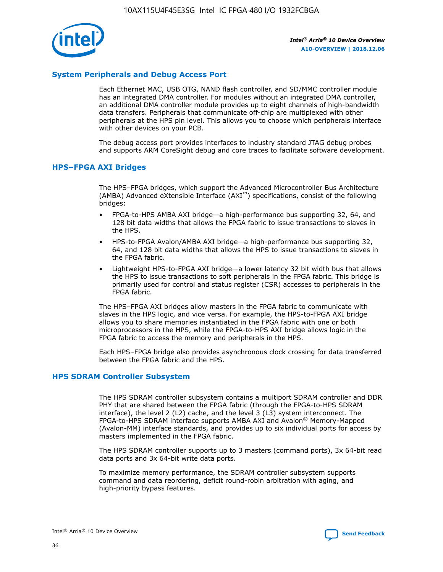

## **System Peripherals and Debug Access Port**

Each Ethernet MAC, USB OTG, NAND flash controller, and SD/MMC controller module has an integrated DMA controller. For modules without an integrated DMA controller, an additional DMA controller module provides up to eight channels of high-bandwidth data transfers. Peripherals that communicate off-chip are multiplexed with other peripherals at the HPS pin level. This allows you to choose which peripherals interface with other devices on your PCB.

The debug access port provides interfaces to industry standard JTAG debug probes and supports ARM CoreSight debug and core traces to facilitate software development.

## **HPS–FPGA AXI Bridges**

The HPS–FPGA bridges, which support the Advanced Microcontroller Bus Architecture (AMBA) Advanced eXtensible Interface (AXI™) specifications, consist of the following bridges:

- FPGA-to-HPS AMBA AXI bridge—a high-performance bus supporting 32, 64, and 128 bit data widths that allows the FPGA fabric to issue transactions to slaves in the HPS.
- HPS-to-FPGA Avalon/AMBA AXI bridge—a high-performance bus supporting 32, 64, and 128 bit data widths that allows the HPS to issue transactions to slaves in the FPGA fabric.
- Lightweight HPS-to-FPGA AXI bridge—a lower latency 32 bit width bus that allows the HPS to issue transactions to soft peripherals in the FPGA fabric. This bridge is primarily used for control and status register (CSR) accesses to peripherals in the FPGA fabric.

The HPS–FPGA AXI bridges allow masters in the FPGA fabric to communicate with slaves in the HPS logic, and vice versa. For example, the HPS-to-FPGA AXI bridge allows you to share memories instantiated in the FPGA fabric with one or both microprocessors in the HPS, while the FPGA-to-HPS AXI bridge allows logic in the FPGA fabric to access the memory and peripherals in the HPS.

Each HPS–FPGA bridge also provides asynchronous clock crossing for data transferred between the FPGA fabric and the HPS.

#### **HPS SDRAM Controller Subsystem**

The HPS SDRAM controller subsystem contains a multiport SDRAM controller and DDR PHY that are shared between the FPGA fabric (through the FPGA-to-HPS SDRAM interface), the level 2 (L2) cache, and the level 3 (L3) system interconnect. The FPGA-to-HPS SDRAM interface supports AMBA AXI and Avalon® Memory-Mapped (Avalon-MM) interface standards, and provides up to six individual ports for access by masters implemented in the FPGA fabric.

The HPS SDRAM controller supports up to 3 masters (command ports), 3x 64-bit read data ports and 3x 64-bit write data ports.

To maximize memory performance, the SDRAM controller subsystem supports command and data reordering, deficit round-robin arbitration with aging, and high-priority bypass features.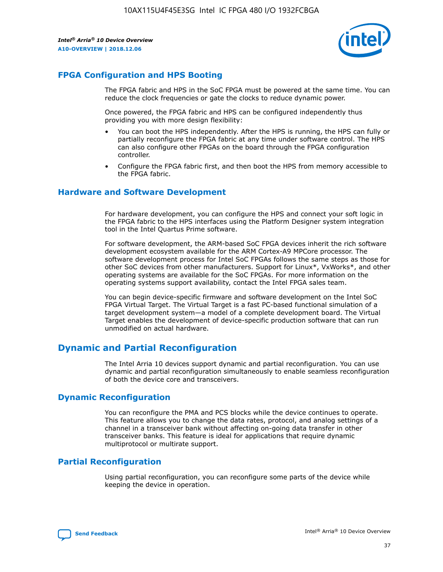

## **FPGA Configuration and HPS Booting**

The FPGA fabric and HPS in the SoC FPGA must be powered at the same time. You can reduce the clock frequencies or gate the clocks to reduce dynamic power.

Once powered, the FPGA fabric and HPS can be configured independently thus providing you with more design flexibility:

- You can boot the HPS independently. After the HPS is running, the HPS can fully or partially reconfigure the FPGA fabric at any time under software control. The HPS can also configure other FPGAs on the board through the FPGA configuration controller.
- Configure the FPGA fabric first, and then boot the HPS from memory accessible to the FPGA fabric.

## **Hardware and Software Development**

For hardware development, you can configure the HPS and connect your soft logic in the FPGA fabric to the HPS interfaces using the Platform Designer system integration tool in the Intel Quartus Prime software.

For software development, the ARM-based SoC FPGA devices inherit the rich software development ecosystem available for the ARM Cortex-A9 MPCore processor. The software development process for Intel SoC FPGAs follows the same steps as those for other SoC devices from other manufacturers. Support for Linux\*, VxWorks\*, and other operating systems are available for the SoC FPGAs. For more information on the operating systems support availability, contact the Intel FPGA sales team.

You can begin device-specific firmware and software development on the Intel SoC FPGA Virtual Target. The Virtual Target is a fast PC-based functional simulation of a target development system—a model of a complete development board. The Virtual Target enables the development of device-specific production software that can run unmodified on actual hardware.

## **Dynamic and Partial Reconfiguration**

The Intel Arria 10 devices support dynamic and partial reconfiguration. You can use dynamic and partial reconfiguration simultaneously to enable seamless reconfiguration of both the device core and transceivers.

## **Dynamic Reconfiguration**

You can reconfigure the PMA and PCS blocks while the device continues to operate. This feature allows you to change the data rates, protocol, and analog settings of a channel in a transceiver bank without affecting on-going data transfer in other transceiver banks. This feature is ideal for applications that require dynamic multiprotocol or multirate support.

## **Partial Reconfiguration**

Using partial reconfiguration, you can reconfigure some parts of the device while keeping the device in operation.

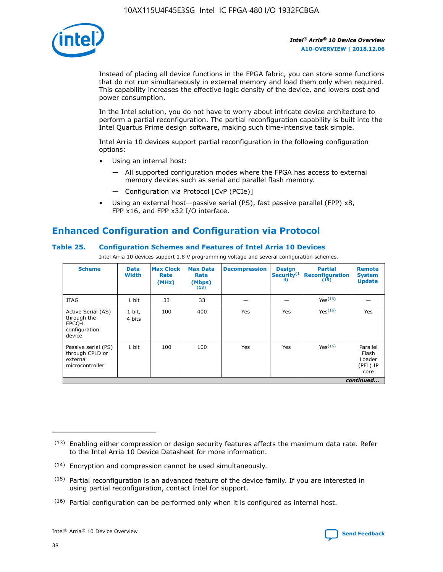

Instead of placing all device functions in the FPGA fabric, you can store some functions that do not run simultaneously in external memory and load them only when required. This capability increases the effective logic density of the device, and lowers cost and power consumption.

In the Intel solution, you do not have to worry about intricate device architecture to perform a partial reconfiguration. The partial reconfiguration capability is built into the Intel Quartus Prime design software, making such time-intensive task simple.

Intel Arria 10 devices support partial reconfiguration in the following configuration options:

- Using an internal host:
	- All supported configuration modes where the FPGA has access to external memory devices such as serial and parallel flash memory.
	- Configuration via Protocol [CvP (PCIe)]
- Using an external host—passive serial (PS), fast passive parallel (FPP) x8, FPP x16, and FPP x32 I/O interface.

# **Enhanced Configuration and Configuration via Protocol**

## **Table 25. Configuration Schemes and Features of Intel Arria 10 Devices**

Intel Arria 10 devices support 1.8 V programming voltage and several configuration schemes.

| <b>Scheme</b>                                                          | <b>Data</b><br><b>Width</b> | <b>Max Clock</b><br>Rate<br>(MHz) | <b>Max Data</b><br>Rate<br>(Mbps)<br>(13) | <b>Decompression</b> | <b>Design</b><br>Security <sup>(1</sup><br>4) | <b>Partial</b><br><b>Reconfiguration</b><br>(15) | <b>Remote</b><br><b>System</b><br><b>Update</b> |
|------------------------------------------------------------------------|-----------------------------|-----------------------------------|-------------------------------------------|----------------------|-----------------------------------------------|--------------------------------------------------|-------------------------------------------------|
| <b>JTAG</b>                                                            | 1 bit                       | 33                                | 33                                        |                      |                                               | Yes(16)                                          |                                                 |
| Active Serial (AS)<br>through the<br>EPCO-L<br>configuration<br>device | 1 bit,<br>4 bits            | 100                               | 400                                       | Yes                  | Yes                                           | $Y_{PS}(16)$                                     | Yes                                             |
| Passive serial (PS)<br>through CPLD or<br>external<br>microcontroller  | 1 bit                       | 100                               | 100                                       | Yes                  | Yes                                           | Yes(16)                                          | Parallel<br>Flash<br>Loader<br>(PFL) IP<br>core |
|                                                                        |                             |                                   |                                           |                      |                                               |                                                  | continued                                       |

<sup>(13)</sup> Enabling either compression or design security features affects the maximum data rate. Refer to the Intel Arria 10 Device Datasheet for more information.

<sup>(14)</sup> Encryption and compression cannot be used simultaneously.

 $(15)$  Partial reconfiguration is an advanced feature of the device family. If you are interested in using partial reconfiguration, contact Intel for support.

 $(16)$  Partial configuration can be performed only when it is configured as internal host.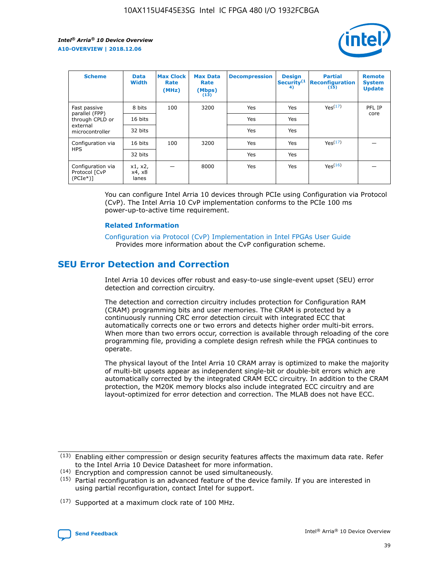

| <b>Scheme</b>                                    | <b>Data</b><br><b>Width</b> | <b>Max Clock</b><br>Rate<br>(MHz) | <b>Max Data</b><br>Rate<br>(Mbps)<br>(13) | <b>Decompression</b> | <b>Design</b><br>Security <sup>(1</sup><br>4) | <b>Partial</b><br><b>Reconfiguration</b><br>(15) | <b>Remote</b><br><b>System</b><br><b>Update</b> |
|--------------------------------------------------|-----------------------------|-----------------------------------|-------------------------------------------|----------------------|-----------------------------------------------|--------------------------------------------------|-------------------------------------------------|
| Fast passive                                     | 8 bits                      | 100                               | 3200                                      | Yes                  | Yes                                           | Yes(17)                                          | PFL IP                                          |
| parallel (FPP)<br>through CPLD or                | 16 bits                     |                                   |                                           | Yes                  | Yes                                           |                                                  | core                                            |
| external<br>microcontroller                      | 32 bits                     |                                   |                                           | Yes                  | Yes                                           |                                                  |                                                 |
| Configuration via                                | 16 bits                     | 100                               | 3200                                      | Yes                  | Yes                                           | Yes <sup>(17)</sup>                              |                                                 |
| <b>HPS</b>                                       | 32 bits                     |                                   |                                           | Yes                  | Yes                                           |                                                  |                                                 |
| Configuration via<br>Protocol [CvP<br>$(PCIe^*)$ | x1, x2,<br>x4, x8<br>lanes  |                                   | 8000                                      | Yes                  | Yes                                           | Yes(16)                                          |                                                 |

You can configure Intel Arria 10 devices through PCIe using Configuration via Protocol (CvP). The Intel Arria 10 CvP implementation conforms to the PCIe 100 ms power-up-to-active time requirement.

#### **Related Information**

[Configuration via Protocol \(CvP\) Implementation in Intel FPGAs User Guide](https://www.intel.com/content/www/us/en/programmable/documentation/dsu1441819344145.html#dsu1442269728522) Provides more information about the CvP configuration scheme.

# **SEU Error Detection and Correction**

Intel Arria 10 devices offer robust and easy-to-use single-event upset (SEU) error detection and correction circuitry.

The detection and correction circuitry includes protection for Configuration RAM (CRAM) programming bits and user memories. The CRAM is protected by a continuously running CRC error detection circuit with integrated ECC that automatically corrects one or two errors and detects higher order multi-bit errors. When more than two errors occur, correction is available through reloading of the core programming file, providing a complete design refresh while the FPGA continues to operate.

The physical layout of the Intel Arria 10 CRAM array is optimized to make the majority of multi-bit upsets appear as independent single-bit or double-bit errors which are automatically corrected by the integrated CRAM ECC circuitry. In addition to the CRAM protection, the M20K memory blocks also include integrated ECC circuitry and are layout-optimized for error detection and correction. The MLAB does not have ECC.

(14) Encryption and compression cannot be used simultaneously.

<sup>(17)</sup> Supported at a maximum clock rate of 100 MHz.



 $(13)$  Enabling either compression or design security features affects the maximum data rate. Refer to the Intel Arria 10 Device Datasheet for more information.

 $(15)$  Partial reconfiguration is an advanced feature of the device family. If you are interested in using partial reconfiguration, contact Intel for support.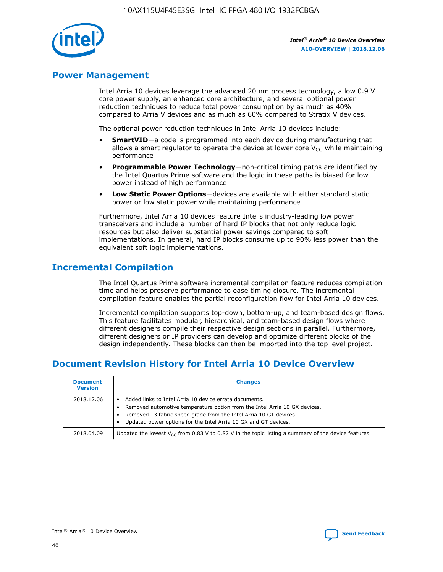

## **Power Management**

Intel Arria 10 devices leverage the advanced 20 nm process technology, a low 0.9 V core power supply, an enhanced core architecture, and several optional power reduction techniques to reduce total power consumption by as much as 40% compared to Arria V devices and as much as 60% compared to Stratix V devices.

The optional power reduction techniques in Intel Arria 10 devices include:

- **SmartVID**—a code is programmed into each device during manufacturing that allows a smart regulator to operate the device at lower core  $V_{CC}$  while maintaining performance
- **Programmable Power Technology**—non-critical timing paths are identified by the Intel Quartus Prime software and the logic in these paths is biased for low power instead of high performance
- **Low Static Power Options**—devices are available with either standard static power or low static power while maintaining performance

Furthermore, Intel Arria 10 devices feature Intel's industry-leading low power transceivers and include a number of hard IP blocks that not only reduce logic resources but also deliver substantial power savings compared to soft implementations. In general, hard IP blocks consume up to 90% less power than the equivalent soft logic implementations.

# **Incremental Compilation**

The Intel Quartus Prime software incremental compilation feature reduces compilation time and helps preserve performance to ease timing closure. The incremental compilation feature enables the partial reconfiguration flow for Intel Arria 10 devices.

Incremental compilation supports top-down, bottom-up, and team-based design flows. This feature facilitates modular, hierarchical, and team-based design flows where different designers compile their respective design sections in parallel. Furthermore, different designers or IP providers can develop and optimize different blocks of the design independently. These blocks can then be imported into the top level project.

# **Document Revision History for Intel Arria 10 Device Overview**

| <b>Document</b><br><b>Version</b> | <b>Changes</b>                                                                                                                                                                                                                                                              |
|-----------------------------------|-----------------------------------------------------------------------------------------------------------------------------------------------------------------------------------------------------------------------------------------------------------------------------|
| 2018.12.06                        | Added links to Intel Arria 10 device errata documents.<br>Removed automotive temperature option from the Intel Arria 10 GX devices.<br>Removed -3 fabric speed grade from the Intel Arria 10 GT devices.<br>Updated power options for the Intel Arria 10 GX and GT devices. |
| 2018.04.09                        | Updated the lowest $V_{CC}$ from 0.83 V to 0.82 V in the topic listing a summary of the device features.                                                                                                                                                                    |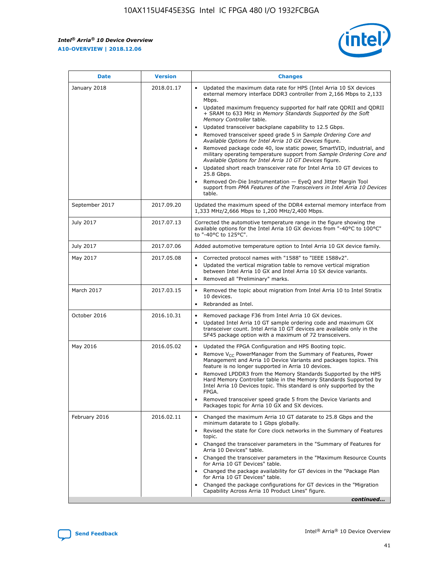#### *Intel® Arria® 10 Device Overview* **A10-OVERVIEW | 2018.12.06**



| <b>Date</b>    | <b>Version</b> | <b>Changes</b>                                                                                                                                                                                                                                                                                                                                                                                                                                                                                                                                                                                                                                                                                                                                                                                                                                                                                                                                                            |
|----------------|----------------|---------------------------------------------------------------------------------------------------------------------------------------------------------------------------------------------------------------------------------------------------------------------------------------------------------------------------------------------------------------------------------------------------------------------------------------------------------------------------------------------------------------------------------------------------------------------------------------------------------------------------------------------------------------------------------------------------------------------------------------------------------------------------------------------------------------------------------------------------------------------------------------------------------------------------------------------------------------------------|
| January 2018   | 2018.01.17     | Updated the maximum data rate for HPS (Intel Arria 10 SX devices<br>external memory interface DDR3 controller from 2,166 Mbps to 2,133<br>Mbps.<br>Updated maximum frequency supported for half rate QDRII and QDRII<br>+ SRAM to 633 MHz in Memory Standards Supported by the Soft<br>Memory Controller table.<br>Updated transceiver backplane capability to 12.5 Gbps.<br>$\bullet$<br>Removed transceiver speed grade 5 in Sample Ordering Core and<br>Available Options for Intel Arria 10 GX Devices figure.<br>Removed package code 40, low static power, SmartVID, industrial, and<br>military operating temperature support from Sample Ordering Core and<br>Available Options for Intel Arria 10 GT Devices figure.<br>Updated short reach transceiver rate for Intel Arria 10 GT devices to<br>25.8 Gbps.<br>Removed On-Die Instrumentation - EyeQ and Jitter Margin Tool<br>support from PMA Features of the Transceivers in Intel Arria 10 Devices<br>table. |
| September 2017 | 2017.09.20     | Updated the maximum speed of the DDR4 external memory interface from<br>1,333 MHz/2,666 Mbps to 1,200 MHz/2,400 Mbps.                                                                                                                                                                                                                                                                                                                                                                                                                                                                                                                                                                                                                                                                                                                                                                                                                                                     |
| July 2017      | 2017.07.13     | Corrected the automotive temperature range in the figure showing the<br>available options for the Intel Arria 10 GX devices from "-40°C to 100°C"<br>to "-40°C to 125°C".                                                                                                                                                                                                                                                                                                                                                                                                                                                                                                                                                                                                                                                                                                                                                                                                 |
| July 2017      | 2017.07.06     | Added automotive temperature option to Intel Arria 10 GX device family.                                                                                                                                                                                                                                                                                                                                                                                                                                                                                                                                                                                                                                                                                                                                                                                                                                                                                                   |
| May 2017       | 2017.05.08     | Corrected protocol names with "1588" to "IEEE 1588v2".<br>$\bullet$<br>Updated the vertical migration table to remove vertical migration<br>$\bullet$<br>between Intel Arria 10 GX and Intel Arria 10 SX device variants.<br>Removed all "Preliminary" marks.<br>$\bullet$                                                                                                                                                                                                                                                                                                                                                                                                                                                                                                                                                                                                                                                                                                |
| March 2017     | 2017.03.15     | Removed the topic about migration from Intel Arria 10 to Intel Stratix<br>$\bullet$<br>10 devices.<br>Rebranded as Intel.<br>$\bullet$                                                                                                                                                                                                                                                                                                                                                                                                                                                                                                                                                                                                                                                                                                                                                                                                                                    |
| October 2016   | 2016.10.31     | Removed package F36 from Intel Arria 10 GX devices.<br>Updated Intel Arria 10 GT sample ordering code and maximum GX<br>$\bullet$<br>transceiver count. Intel Arria 10 GT devices are available only in the<br>SF45 package option with a maximum of 72 transceivers.                                                                                                                                                                                                                                                                                                                                                                                                                                                                                                                                                                                                                                                                                                     |
| May 2016       | 2016.05.02     | Updated the FPGA Configuration and HPS Booting topic.<br>$\bullet$<br>Remove V <sub>CC</sub> PowerManager from the Summary of Features, Power<br>$\bullet$<br>Management and Arria 10 Device Variants and packages topics. This<br>feature is no longer supported in Arria 10 devices.<br>Removed LPDDR3 from the Memory Standards Supported by the HPS<br>Hard Memory Controller table in the Memory Standards Supported by<br>Intel Arria 10 Devices topic. This standard is only supported by the<br>FPGA.<br>Removed transceiver speed grade 5 from the Device Variants and<br>Packages topic for Arria 10 GX and SX devices.                                                                                                                                                                                                                                                                                                                                         |
| February 2016  | 2016.02.11     | Changed the maximum Arria 10 GT datarate to 25.8 Gbps and the<br>minimum datarate to 1 Gbps globally.<br>Revised the state for Core clock networks in the Summary of Features<br>$\bullet$<br>topic.<br>• Changed the transceiver parameters in the "Summary of Features for<br>Arria 10 Devices" table.<br>• Changed the transceiver parameters in the "Maximum Resource Counts<br>for Arria 10 GT Devices" table.<br>• Changed the package availability for GT devices in the "Package Plan<br>for Arria 10 GT Devices" table.<br>Changed the package configurations for GT devices in the "Migration"<br>Capability Across Arria 10 Product Lines" figure.<br>continued                                                                                                                                                                                                                                                                                                |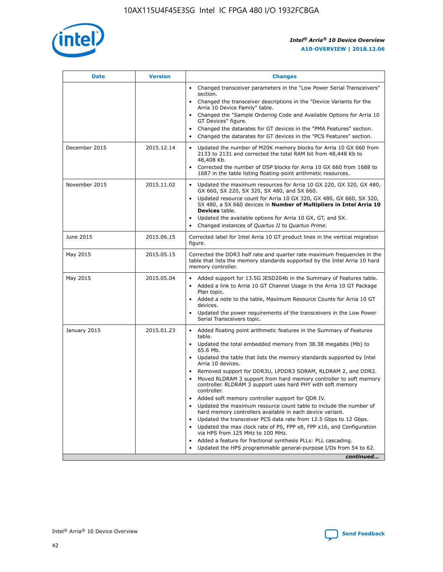

| <b>Date</b>   | <b>Version</b> | <b>Changes</b>                                                                                                                                                               |
|---------------|----------------|------------------------------------------------------------------------------------------------------------------------------------------------------------------------------|
|               |                | Changed transceiver parameters in the "Low Power Serial Transceivers"<br>section.                                                                                            |
|               |                | • Changed the transceiver descriptions in the "Device Variants for the<br>Arria 10 Device Family" table.                                                                     |
|               |                | Changed the "Sample Ordering Code and Available Options for Arria 10<br>GT Devices" figure.                                                                                  |
|               |                | Changed the datarates for GT devices in the "PMA Features" section.                                                                                                          |
|               |                | Changed the datarates for GT devices in the "PCS Features" section.<br>$\bullet$                                                                                             |
| December 2015 | 2015.12.14     | Updated the number of M20K memory blocks for Arria 10 GX 660 from<br>2133 to 2131 and corrected the total RAM bit from 48,448 Kb to<br>48,408 Kb.                            |
|               |                | Corrected the number of DSP blocks for Arria 10 GX 660 from 1688 to<br>$\bullet$<br>1687 in the table listing floating-point arithmetic resources.                           |
| November 2015 | 2015.11.02     | Updated the maximum resources for Arria 10 GX 220, GX 320, GX 480,<br>GX 660, SX 220, SX 320, SX 480, and SX 660.                                                            |
|               |                | Updated resource count for Arria 10 GX 320, GX 480, GX 660, SX 320,<br>SX 480, a SX 660 devices in Number of Multipliers in Intel Arria 10<br><b>Devices</b> table.          |
|               |                | Updated the available options for Arria 10 GX, GT, and SX.<br>$\bullet$                                                                                                      |
|               |                | Changed instances of Quartus II to Quartus Prime.<br>$\bullet$                                                                                                               |
| June 2015     | 2015.06.15     | Corrected label for Intel Arria 10 GT product lines in the vertical migration<br>figure.                                                                                     |
| May 2015      | 2015.05.15     | Corrected the DDR3 half rate and quarter rate maximum frequencies in the<br>table that lists the memory standards supported by the Intel Arria 10 hard<br>memory controller. |
| May 2015      | 2015.05.04     | Added support for 13.5G JESD204b in the Summary of Features table.<br>Added a link to Arria 10 GT Channel Usage in the Arria 10 GT Package                                   |
|               |                | Plan topic.                                                                                                                                                                  |
|               |                | • Added a note to the table, Maximum Resource Counts for Arria 10 GT<br>devices.                                                                                             |
|               |                | Updated the power requirements of the transceivers in the Low Power<br>Serial Transceivers topic.                                                                            |
| January 2015  | 2015.01.23     | • Added floating point arithmetic features in the Summary of Features<br>table.                                                                                              |
|               |                | Updated the total embedded memory from 38.38 megabits (Mb) to<br>$\bullet$<br>65.6 Mb.                                                                                       |
|               |                | • Updated the table that lists the memory standards supported by Intel<br>Arria 10 devices.                                                                                  |
|               |                | Removed support for DDR3U, LPDDR3 SDRAM, RLDRAM 2, and DDR2.                                                                                                                 |
|               |                | Moved RLDRAM 3 support from hard memory controller to soft memory<br>controller. RLDRAM 3 support uses hard PHY with soft memory<br>controller.                              |
|               |                | Added soft memory controller support for QDR IV.                                                                                                                             |
|               |                | Updated the maximum resource count table to include the number of<br>$\bullet$<br>hard memory controllers available in each device variant.                                  |
|               |                | Updated the transceiver PCS data rate from 12.5 Gbps to 12 Gbps.                                                                                                             |
|               |                | Updated the max clock rate of PS, FPP x8, FPP x16, and Configuration<br>via HPS from 125 MHz to 100 MHz.                                                                     |
|               |                | Added a feature for fractional synthesis PLLs: PLL cascading.                                                                                                                |
|               |                | Updated the HPS programmable general-purpose I/Os from 54 to 62.<br>$\bullet$                                                                                                |
|               |                | continued                                                                                                                                                                    |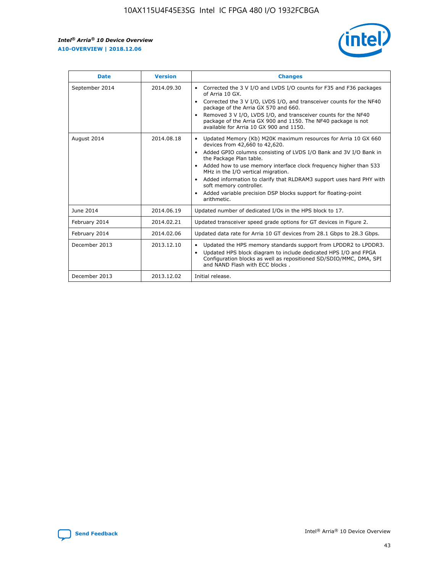r



| <b>Date</b>    | <b>Version</b> | <b>Changes</b>                                                                                                                                                                                                                                                                                                                                                                                                                                                                                                                                      |
|----------------|----------------|-----------------------------------------------------------------------------------------------------------------------------------------------------------------------------------------------------------------------------------------------------------------------------------------------------------------------------------------------------------------------------------------------------------------------------------------------------------------------------------------------------------------------------------------------------|
| September 2014 | 2014.09.30     | Corrected the 3 V I/O and LVDS I/O counts for F35 and F36 packages<br>$\bullet$<br>of Arria 10 GX.<br>Corrected the 3 V I/O, LVDS I/O, and transceiver counts for the NF40<br>$\bullet$<br>package of the Arria GX 570 and 660.<br>Removed 3 V I/O, LVDS I/O, and transceiver counts for the NF40<br>$\bullet$<br>package of the Arria GX 900 and 1150. The NF40 package is not<br>available for Arria 10 GX 900 and 1150.                                                                                                                          |
| August 2014    | 2014.08.18     | Updated Memory (Kb) M20K maximum resources for Arria 10 GX 660<br>devices from 42,660 to 42,620.<br>Added GPIO columns consisting of LVDS I/O Bank and 3V I/O Bank in<br>$\bullet$<br>the Package Plan table.<br>Added how to use memory interface clock frequency higher than 533<br>$\bullet$<br>MHz in the I/O vertical migration.<br>Added information to clarify that RLDRAM3 support uses hard PHY with<br>$\bullet$<br>soft memory controller.<br>Added variable precision DSP blocks support for floating-point<br>$\bullet$<br>arithmetic. |
| June 2014      | 2014.06.19     | Updated number of dedicated I/Os in the HPS block to 17.                                                                                                                                                                                                                                                                                                                                                                                                                                                                                            |
| February 2014  | 2014.02.21     | Updated transceiver speed grade options for GT devices in Figure 2.                                                                                                                                                                                                                                                                                                                                                                                                                                                                                 |
| February 2014  | 2014.02.06     | Updated data rate for Arria 10 GT devices from 28.1 Gbps to 28.3 Gbps.                                                                                                                                                                                                                                                                                                                                                                                                                                                                              |
| December 2013  | 2013.12.10     | Updated the HPS memory standards support from LPDDR2 to LPDDR3.<br>Updated HPS block diagram to include dedicated HPS I/O and FPGA<br>$\bullet$<br>Configuration blocks as well as repositioned SD/SDIO/MMC, DMA, SPI<br>and NAND Flash with ECC blocks.                                                                                                                                                                                                                                                                                            |
| December 2013  | 2013.12.02     | Initial release.                                                                                                                                                                                                                                                                                                                                                                                                                                                                                                                                    |